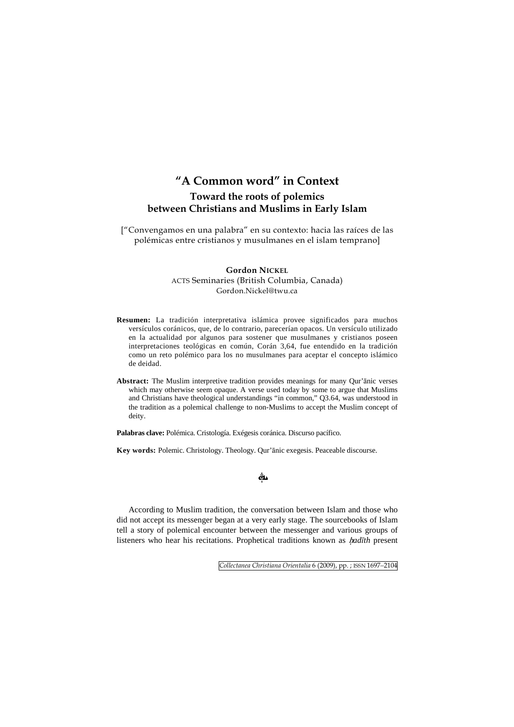# **"A Common word" in Context Toward the roots of polemics between Christians and Muslims in Early Islam**

["Convengamos en una palabra" en su contexto: hacia las raíces de las polémicas entre cristianos y musulmanes en el islam temprano]

# **Gordon NICKEL** ACTS Seminaries (British Columbia, Canada) Gordon.Nickel@twu.ca

- **Resumen:** La tradición interpretativa islámica provee significados para muchos versículos coránicos, que, de lo contrario, parecerían opacos. Un versículo utilizado en la actualidad por algunos para sostener que musulmanes y cristianos poseen interpretaciones teológicas en común, Corán 3,64, fue entendido en la tradición como un reto polémico para los no musulmanes para aceptar el concepto islámico de deidad.
- **Abstract:** The Muslim interpretive tradition provides meanings for many Qur'ānic verses which may otherwise seem opaque. A verse used today by some to argue that Muslims and Christians have theological understandings "in common," Q3.64, was understood in the tradition as a polemical challenge to non-Muslims to accept the Muslim concept of deity.

**Palabras clave:** Polémica. Cristología. Exégesis coránica. Discurso pacífico.

**Key words:** Polemic. Christology. Theology. Qur'ānic exegesis. Peaceable discourse.

# <u>ர்</u>

According to Muslim tradition, the conversation between Islam and those who did not accept its messenger began at a very early stage. The sourcebooks of Islam tell a story of polemical encounter between the messenger and various groups of listeners who hear his recitations. Prophetical traditions known as *adīth* present

*Collectanea Christiana Orientalia* 6 (2009), pp. ; ISSN 1697–2104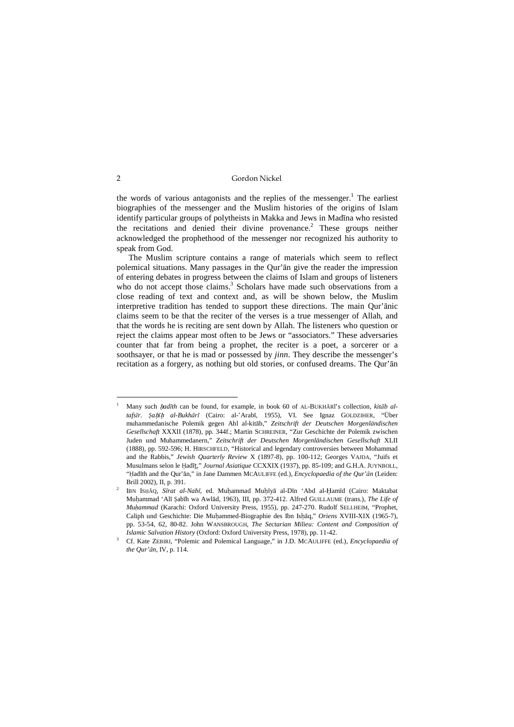the words of various antagonists and the replies of the messenger.<sup>1</sup> The earliest biographies of the messenger and the Muslim histories of the origins of Islam identify particular groups of polytheists in Makka and Jews in Madīna who resisted the recitations and denied their divine provenance.<sup>2</sup> These groups neither acknowledged the prophethood of the messenger nor recognized his authority to speak from God.

The Muslim scripture contains a range of materials which seem to reflect polemical situations. Many passages in the Qur'ān give the reader the impression of entering debates in progress between the claims of Islam and groups of listeners who do not accept those claims.<sup>3</sup> Scholars have made such observations from a close reading of text and context and, as will be shown below, the Muslim interpretive tradition has tended to support these directions. The main Qur'ānic claims seem to be that the reciter of the verses is a true messenger of Allah, and that the words he is reciting are sent down by Allah. The listeners who question or reject the claims appear most often to be Jews or "associators." These adversaries counter that far from being a prophet, the reciter is a poet, a sorcerer or a soothsayer, or that he is mad or possessed by *jinn*. They describe the messenger's recitation as a forgery, as nothing but old stories, or confused dreams. The Qur'ān

<sup>1</sup> Many such *adīth* can be found, for example, in book 60 of AL-BUKHĀRĪ's collection, *kitāb altafsīr*. *Ṣaī al-Bukhārī* (Cairo: al-'Arabī, 1955), VI. See Ignaz GOLDZIHER, "Über muhammedanische Polemik gegen Ahl al-kitāb," *Zeitschrift der Deutschen Morgenländischen Gesellschaft* XXXII (1878), pp. 344f.; Martin SCHREINER, "Zur Geschichte der Polemik zwischen Juden und Muhammedanern," *Zeitschrift der Deutschen Morgenländischen Gesellschaft* XLII (1888), pp. 592-596; H. HIRSCHFELD, "Historical and legendary controversies between Mohammad and the Rabbis," *Jewish Quarterly Review* X (1897-8), pp. 100-112; Georges VAJDA, "Juifs et Musulmans selon le Ḥadīṯ," *Journal Asiatique* CCXXIX (1937), pp. 85-109; and G.H.A. JUYNBOLL, "Ḥadīth and the Qur'ān," in Jane Dammen MCAULIFFE (ed.), *Encyclopaedia of the Qur'ān* (Leiden: Brill 2002), II, p. 391.

 $\overline{2}$  IBN ISḤĀQ, *Sīrat al-Nabī*, ed. Muḥammad Muḥīyā al-Dīn 'Abd al--amīd (Cairo: Maktabat Muḥammad 'Alī Ṣabīh wa Awlād, 1963), III, pp. 372-412. Alfred GUILLAUME (trans.), *The Life of Muḥammad* (Karachi: Oxford University Press, 1955), pp. 247-270. Rudolf SELLHEIM, "Prophet, Caliph und Geschichte: Die Muḥammed-Biographie des Ibn Isḥāq," *Oriens* XVIII-XIX (1965-7), pp. 53-54, 62, 80-82. John WANSBROUGH, *The Sectarian Milieu: Content and Composition of Islamic Salvation History* (Oxford: Oxford University Press, 1978), pp. 11-42.

<sup>3</sup> Cf. Kate ZEBIRI, "Polemic and Polemical Language," in J.D. MCAULIFFE (ed.), *Encyclopaedia of the Qur'ān*, IV, p. 114.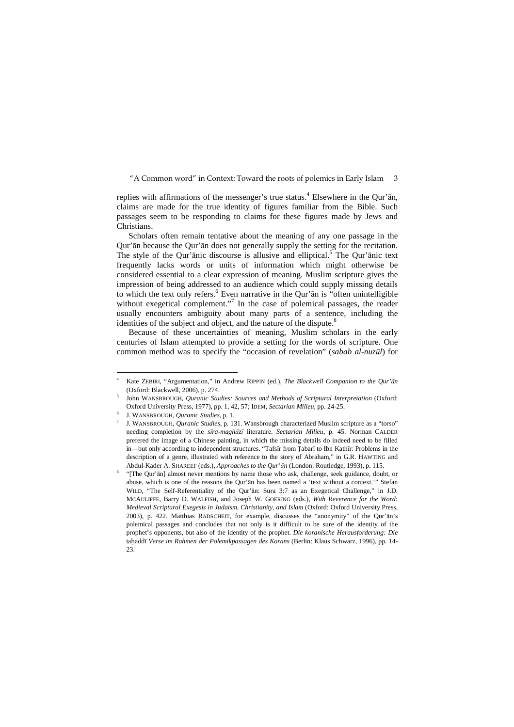replies with affirmations of the messenger's true status.<sup>4</sup> Elsewhere in the Qur'ān, claims are made for the true identity of figures familiar from the Bible. Such passages seem to be responding to claims for these figures made by Jews and Christians.

Scholars often remain tentative about the meaning of any one passage in the Qur'ān because the Qur'ān does not generally supply the setting for the recitation. The style of the Qur'anic discourse is allusive and elliptical.<sup>5</sup> The Qur'anic text frequently lacks words or units of information which might otherwise be considered essential to a clear expression of meaning. Muslim scripture gives the impression of being addressed to an audience which could supply missing details to which the text only refers.<sup>6</sup> Even narrative in the Qur'an is "often unintelligible without exegetical complement."<sup>7</sup> In the case of polemical passages, the reader usually encounters ambiguity about many parts of a sentence, including the identities of the subject and object, and the nature of the dispute.<sup>8</sup>

Because of these uncertainties of meaning, Muslim scholars in the early centuries of Islam attempted to provide a setting for the words of scripture. One common method was to specify the "occasion of revelation" (*sabab al-nuzūl*) for

<sup>4</sup> Kate ZEBIRI, "Argumentation," in Andrew RIPPIN (ed.), *The Blackwell Companion to the Qur'ān* (Oxford: Blackwell, 2006), p. 274.

<sup>5</sup> John WANSBROUGH, *Quranic Studies: Sources and Methods of Scriptural Interpretation* (Oxford: Oxford University Press, 1977), pp. 1, 42, 57; IDEM, *Sectarian Milieu*, pp. 24-25.

<sup>6</sup> J. WANSBROUGH, *Quranic Studies*, p. 1.

<sup>7</sup> J. WANSBROUGH, *Quranic Studies*, p. 131. Wansbrough characterized Muslim scripture as a "torso" needing completion by the *sīra-maghāzī* literature. *Sectarian Milieu*, p. 45. Norman CALDER prefered the image of a Chinese painting, in which the missing details do indeed need to be filled in—but only according to independent structures. "Tafsīr from Ṭabarī to Ibn Kathīr: Problems in the description of a genre, illustrated with reference to the story of Abraham," in G.R. HAWTING and Abdul-Kader A. SHAREEF (eds.), *Approaches to the Qur'ān* (London: Routledge, 1993), p. 115.

<sup>8</sup> "[The Qur'ān] almost never mentions by name those who ask, challenge, seek guidance, doubt, or abuse, which is one of the reasons the Qur'ān has been named a 'text without a context.'" Stefan WILD, "The Self-Referentiality of the Qur'ān: Sura 3:7 as an Exegetical Challenge," in J.D. MCAULIFFE, Barry D. WALFISH, and Joseph W. GOERING (eds.), *With Reverence for the Word: Medieval Scriptural Exegesis in Judaism, Christianity, and Islam* (Oxford: Oxford University Press, 2003), p. 422. Matthias RADSCHEIT, for example, discusses the "anonymity" of the Qur'ān's polemical passages and concludes that not only is it difficult to be sure of the identity of the prophet's opponents, but also of the identity of the prophet. *Die koranische Herausforderung: Die* taḥaddī *Verse im Rahmen der Polemikpassagen des Korans* (Berlin: Klaus Schwarz, 1996), pp. 14- 23.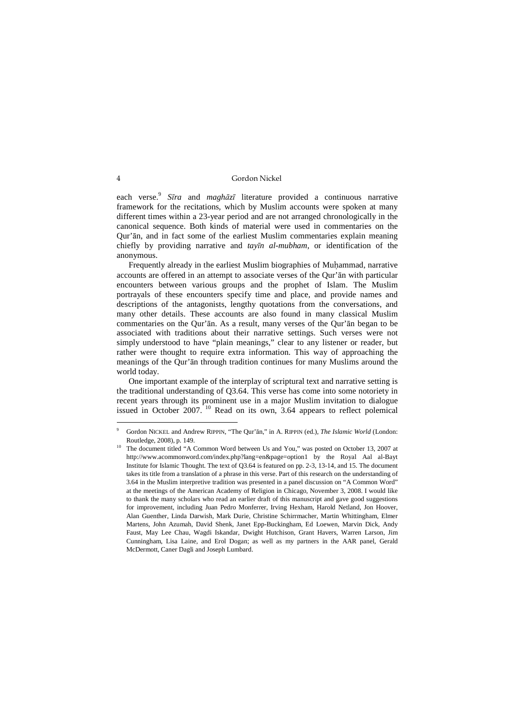each verse.<sup>9</sup> *Sīra* and *maghāzī* literature provided a continuous narrative framework for the recitations, which by Muslim accounts were spoken at many different times within a 23-year period and are not arranged chronologically in the canonical sequence. Both kinds of material were used in commentaries on the Qur'ān, and in fact some of the earliest Muslim commentaries explain meaning chiefly by providing narrative and *tayīn al-mubham*, or identification of the anonymous.

Frequently already in the earliest Muslim biographies of Muḥammad, narrative accounts are offered in an attempt to associate verses of the Qur'ān with particular encounters between various groups and the prophet of Islam. The Muslim portrayals of these encounters specify time and place, and provide names and descriptions of the antagonists, lengthy quotations from the conversations, and many other details. These accounts are also found in many classical Muslim commentaries on the Qur'ān. As a result, many verses of the Qur'ān began to be associated with traditions about their narrative settings. Such verses were not simply understood to have "plain meanings," clear to any listener or reader, but rather were thought to require extra information. This way of approaching the meanings of the Qur'ān through tradition continues for many Muslims around the world today.

One important example of the interplay of scriptural text and narrative setting is the traditional understanding of Q3.64. This verse has come into some notoriety in recent years through its prominent use in a major Muslim invitation to dialogue issued in October 2007.<sup>10</sup> Read on its own, 3.64 appears to reflect polemical

<sup>9</sup> Gordon NICKEL and Andrew RIPPIN, "The Qur'ān," in A. RIPPIN (ed.), *The Islamic World* (London: Routledge, 2008), p. 149.

<sup>&</sup>lt;sup>10</sup> The document titled "A Common Word between Us and You," was posted on October 13, 2007 at http://www.acommonword.com/index.php?lang=en&page=option1 by the Royal Aal al-Bayt Institute for Islamic Thought. The text of Q3.64 is featured on pp. 2-3, 13-14, and 15. The document takes its title from a translation of a phrase in this verse. Part of this research on the understanding of 3.64 in the Muslim interpretive tradition was presented in a panel discussion on "A Common Word" at the meetings of the American Academy of Religion in Chicago, November 3, 2008. I would like to thank the many scholars who read an earlier draft of this manuscript and gave good suggestions for improvement, including Juan Pedro Monferrer, Irving Hexham, Harold Netland, Jon Hoover, Alan Guenther, Linda Darwish, Mark Durie, Christine Schirrmacher, Martin Whittingham, Elmer Martens, John Azumah, David Shenk, Janet Epp-Buckingham, Ed Loewen, Marvin Dick, Andy Faust, May Lee Chau, Wagdi Iskandar, Dwight Hutchison, Grant Havers, Warren Larson, Jim Cunningham, Lisa Laine, and Erol Dogan; as well as my partners in the AAR panel, Gerald McDermott, Caner Dagli and Joseph Lumbard.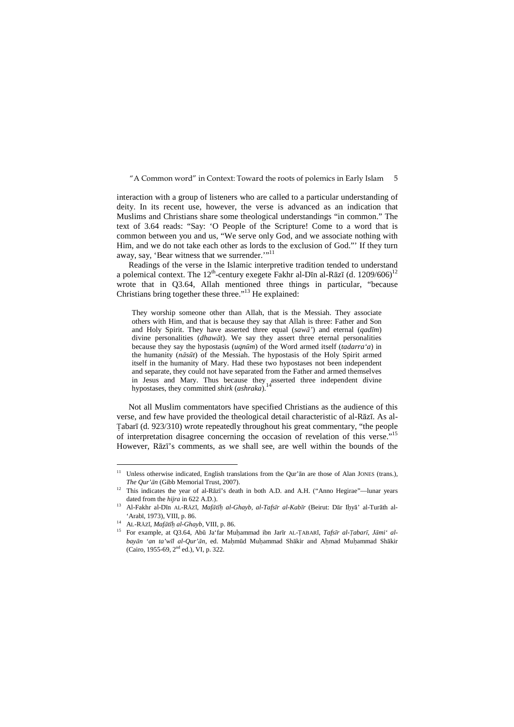interaction with a group of listeners who are called to a particular understanding of deity. In its recent use, however, the verse is advanced as an indication that Muslims and Christians share some theological understandings "in common." The text of 3.64 reads: "Say: 'O People of the Scripture! Come to a word that is common between you and us, "We serve only God, and we associate nothing with Him, and we do not take each other as lords to the exclusion of God."' If they turn away, say, 'Bear witness that we surrender.'"<sup>11</sup>

Readings of the verse in the Islamic interpretive tradition tended to understand a polemical context. The  $12^{th}$ -century exegete Fakhr al-Dīn al-Rāzī (d. 1209/606)<sup>12</sup> wrote that in Q3.64, Allah mentioned three things in particular, "because Christians bring together these three."<sup>13</sup> He explained:

They worship someone other than Allah, that is the Messiah. They associate others with Him, and that is because they say that Allah is three: Father and Son and Holy Spirit. They have asserted three equal (*sawā'*) and eternal (*qadīm*) divine personalities (*dhawāt*). We say they assert three eternal personalities because they say the hypostasis (*uqnūm*) of the Word armed itself (*tadarra'a*) in the humanity (*nāsūt*) of the Messiah. The hypostasis of the Holy Spirit armed itself in the humanity of Mary. Had these two hypostases not been independent and separate, they could not have separated from the Father and armed themselves in Jesus and Mary. Thus because they asserted three independent divine hypostases, they committed *shirk* (ashraka).

Not all Muslim commentators have specified Christians as the audience of this verse, and few have provided the theological detail characteristic of al-Rāzī. As al-Ṭabarī (d. 923/310) wrote repeatedly throughout his great commentary, "the people of interpretation disagree concerning the occasion of revelation of this verse."<sup>15</sup> However, Rāzī's comments, as we shall see, are well within the bounds of the

<sup>&</sup>lt;sup>11</sup> Unless otherwise indicated, English translations from the Qur'an are those of Alan JONES (trans.), *The Qur'ān* (Gibb Memorial Trust, 2007).

<sup>12</sup> This indicates the year of al-Rāzī's death in both A.D. and A.H. ("Anno Hegirae"—lunar years dated from the *hijra* in 622 A.D.).

<sup>13</sup> Al-Fakhr al-Dīn AL-RĀZĪ, *Mafātīḥ al-Ghayb, al-Tafsīr al-Kabīr* (Beirut: Dār Iḥyā' al-Turāth al- 'Arabī, 1973), VIII, p. 86.

<sup>14</sup> AL-RĀZĪ, *Mafātīḥ al-Ghayb*, VIII, p. 86.

<sup>15</sup> For example, at Q3.64, Abū Ja'far Muḥammad ibn Jarīr AL-ṬABARĪ, *Tafsīr al-Ṭabarī, Jāmi' albayān 'an ta'wīl al-Qur'ān*, ed. Maḥmūd Muḥammad Shākir and Aḥmad Muḥammad Shākir (Cairo, 1955-69, 2nd ed.), VI, p. 322.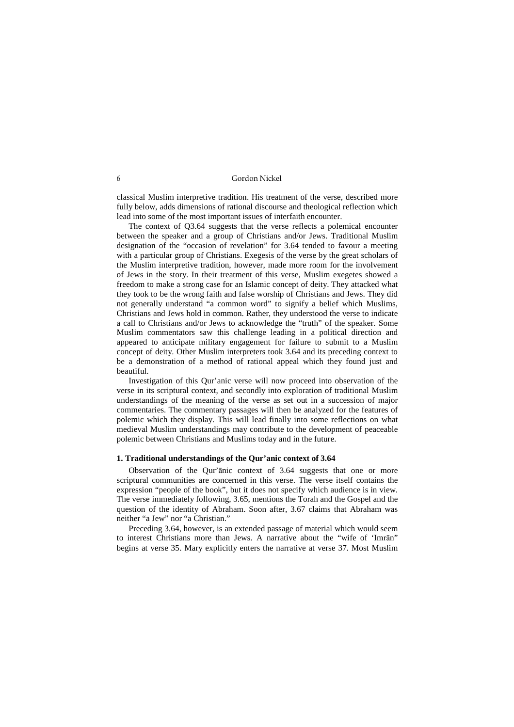classical Muslim interpretive tradition. His treatment of the verse, described more fully below, adds dimensions of rational discourse and theological reflection which lead into some of the most important issues of interfaith encounter.

The context of Q3.64 suggests that the verse reflects a polemical encounter between the speaker and a group of Christians and/or Jews. Traditional Muslim designation of the "occasion of revelation" for 3.64 tended to favour a meeting with a particular group of Christians. Exegesis of the verse by the great scholars of the Muslim interpretive tradition, however, made more room for the involvement of Jews in the story. In their treatment of this verse, Muslim exegetes showed a freedom to make a strong case for an Islamic concept of deity. They attacked what they took to be the wrong faith and false worship of Christians and Jews. They did not generally understand "a common word" to signify a belief which Muslims, Christians and Jews hold in common. Rather, they understood the verse to indicate a call to Christians and/or Jews to acknowledge the "truth" of the speaker. Some Muslim commentators saw this challenge leading in a political direction and appeared to anticipate military engagement for failure to submit to a Muslim concept of deity. Other Muslim interpreters took 3.64 and its preceding context to be a demonstration of a method of rational appeal which they found just and beautiful.

Investigation of this Qur'anic verse will now proceed into observation of the verse in its scriptural context, and secondly into exploration of traditional Muslim understandings of the meaning of the verse as set out in a succession of major commentaries. The commentary passages will then be analyzed for the features of polemic which they display. This will lead finally into some reflections on what medieval Muslim understandings may contribute to the development of peaceable polemic between Christians and Muslims today and in the future.

#### **1. Traditional understandings of the Qur'anic context of 3.64**

Observation of the Qur'ānic context of 3.64 suggests that one or more scriptural communities are concerned in this verse. The verse itself contains the expression "people of the book", but it does not specify which audience is in view. The verse immediately following, 3.65, mentions the Torah and the Gospel and the question of the identity of Abraham. Soon after, 3.67 claims that Abraham was neither "a Jew" nor "a Christian."

Preceding 3.64, however, is an extended passage of material which would seem to interest Christians more than Jews. A narrative about the "wife of 'Imrān" begins at verse 35. Mary explicitly enters the narrative at verse 37. Most Muslim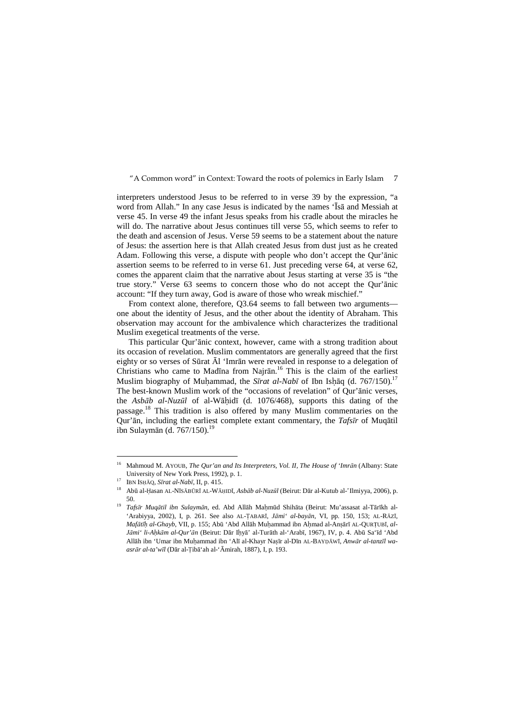interpreters understood Jesus to be referred to in verse 39 by the expression, "a word from Allah." In any case Jesus is indicated by the names 'Īsā and Messiah at verse 45. In verse 49 the infant Jesus speaks from his cradle about the miracles he will do. The narrative about Jesus continues till verse 55, which seems to refer to the death and ascension of Jesus. Verse 59 seems to be a statement about the nature of Jesus: the assertion here is that Allah created Jesus from dust just as he created Adam. Following this verse, a dispute with people who don't accept the Qur'ānic assertion seems to be referred to in verse 61. Just preceding verse 64, at verse 62, comes the apparent claim that the narrative about Jesus starting at verse 35 is "the true story." Verse 63 seems to concern those who do not accept the Qur'ānic account: "If they turn away, God is aware of those who wreak mischief."

From context alone, therefore, Q3.64 seems to fall between two arguments one about the identity of Jesus, and the other about the identity of Abraham. This observation may account for the ambivalence which characterizes the traditional Muslim exegetical treatments of the verse.

This particular Qur'ānic context, however, came with a strong tradition about its occasion of revelation. Muslim commentators are generally agreed that the first eighty or so verses of Sūrat Āl 'Imrān were revealed in response to a delegation of Christians who came to Madīna from Najrān.<sup>16</sup> This is the claim of the earliest Muslim biography of Muḥammad, the *Sīrat al-Nabī* of Ibn Isḥāq (d. 767/150).<sup>17</sup> The best-known Muslim work of the "occasions of revelation" of Qur'ānic verses, the *Asbāb al-Nuzūl* of al-Wāḥidī (d. 1076/468), supports this dating of the passage.<sup>18</sup> This tradition is also offered by many Muslim commentaries on the Qur'ān, including the earliest complete extant commentary, the *Tafsīr* of Muqātil ibn Sulaymān (d. 767/150).<sup>19</sup>

<sup>16</sup> Mahmoud M. AYOUB, *The Qur'an and Its Interpreters, Vol. II, The House of 'Imrān* (Albany: State University of New York Press, 1992), p. 1.

<sup>17</sup> IBN ISHĀQ, *Sīrat al-Nabī*, II, p. 415.

<sup>18</sup> Abū al-Ḥasan AL-NĪSĀBŪRĪ AL-WĀḤIDĪ, *Asbāb al-Nuzūl* (Beirut: Dār al-Kutub al-'Ilmiyya, 2006), p. 50.

<sup>19</sup> *Tafsīr Muqātil ibn Sulaymān*, ed. Abd Allāh Maḥmūd Shihāta (Beirut: Mu'assasat al-Tārīkh al- 'Arabiyya, 2002), I, p. 261. See also AL-ṬABARĪ, *Jāmi' al-bayān*, VI, pp. 150, 153; AL-RĀZĪ, *Mafātīh al-Ghayb*, VII, p. 155; Abū 'Abd Allāh Muḥammad ibn Ahmad al-Anṣārī AL-QURTUBĪ, al-*Jāmi' li-Aḥkām al-Qur'ān* (Beirut: Dār Iḥyā' al-Turāth al-'Arabī, 1967), IV, p. 4. Abū Sa'īd 'Abd Allāh ibn 'Umar ibn Muḥammad ibn 'Alī al-Khayr Naṣīr al-Dīn AL-BAYḌĀWĪ, *Anwār al-tanzīl waasrār al-ta'wīl* (Dār al-Ṭibā'ah al-'Āmirah, 1887), I, p. 193.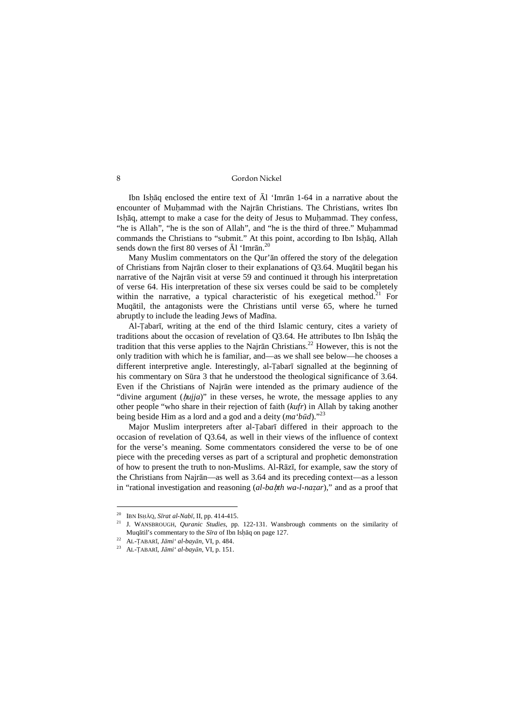Ibn Isḥāq enclosed the entire text of Āl 'Imrān 1-64 in a narrative about the encounter of Muḥammad with the Najrān Christians. The Christians, writes Ibn Isḥāq, attempt to make a case for the deity of Jesus to Muḥammad. They confess, "he is Allah", "he is the son of Allah", and "he is the third of three." Muḥammad commands the Christians to "submit." At this point, according to Ibn Isḥāq, Allah sends down the first 80 verses of  $\bar{A}$ l 'Imrān.<sup>20</sup>

Many Muslim commentators on the Qur'ān offered the story of the delegation of Christians from Najrān closer to their explanations of Q3.64. Muqātil began his narrative of the Najrān visit at verse 59 and continued it through his interpretation of verse 64. His interpretation of these six verses could be said to be completely within the narrative, a typical characteristic of his exegetical method.<sup>21</sup> For Muqātil, the antagonists were the Christians until verse 65, where he turned abruptly to include the leading Jews of Madīna.

Al-Ṭabarī, writing at the end of the third Islamic century, cites a variety of traditions about the occasion of revelation of Q3.64. He attributes to Ibn Ishaq the tradition that this verse applies to the Najrān Christians.<sup>22</sup> However, this is not the only tradition with which he is familiar, and—as we shall see below—he chooses a different interpretive angle. Interestingly, al-Ṭabarī signalled at the beginning of his commentary on Sūra 3 that he understood the theological significance of 3.64. Even if the Christians of Najrān were intended as the primary audience of the "divine argument  $(hujja)$ " in these verses, he wrote, the message applies to any other people "who share in their rejection of faith (*kufr*) in Allah by taking another being beside Him as a lord and a god and a deity (*ma'būd*)."<sup>23</sup>

Major Muslim interpreters after al-Ṭabarī differed in their approach to the occasion of revelation of Q3.64, as well in their views of the influence of context for the verse's meaning. Some commentators considered the verse to be of one piece with the preceding verses as part of a scriptural and prophetic demonstration of how to present the truth to non-Muslims. Al-Rāzī, for example, saw the story of the Christians from Najrān—as well as 3.64 and its preceding context—as a lesson in "rational investigation and reasoning (*al-bath wa-l-naẓar*)," and as a proof that

<sup>20</sup> IBN ISḤĀQ, *Sīrat al-Nabī*, II, pp. 414-415.

<sup>21</sup> J. WANSBROUGH, *Quranic Studies*, pp. 122-131. Wansbrough comments on the similarity of Muqātil's commentary to the *Sīra* of Ibn Isḥāq on page 127.

<sup>22</sup> AL-ṬABARĪ, *Jāmi' al-bayān*, VI, p. 484.

<sup>23</sup> AL-ṬABARĪ, *Jāmi' al-bayān*, VI, p. 151.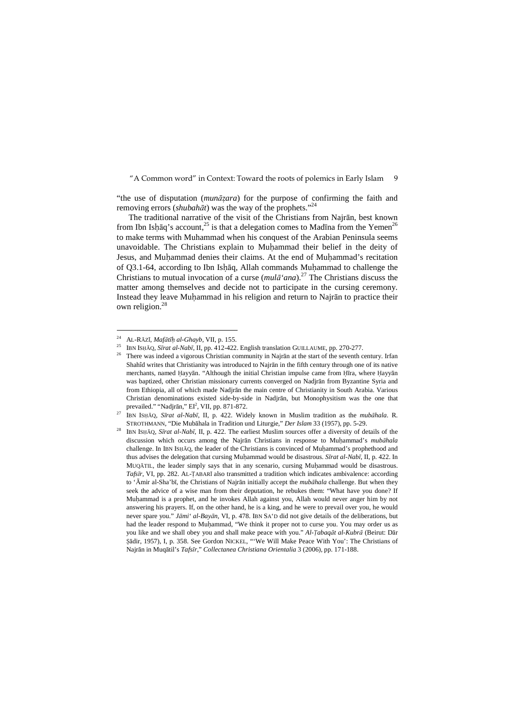"the use of disputation (*munāẓara*) for the purpose of confirming the faith and removing errors (*shubahāt*) was the way of the prophets."<sup>24</sup>

The traditional narrative of the visit of the Christians from Najrān, best known from Ibn Ishāq's account,<sup>25</sup> is that a delegation comes to Madīna from the Yemen<sup>26</sup> to make terms with Muhammad when his conquest of the Arabian Peninsula seems unavoidable. The Christians explain to Muḥammad their belief in the deity of Jesus, and Muḥammad denies their claims. At the end of Muḥammad's recitation of Q3.1-64, according to Ibn Isḥāq, Allah commands Muḥammad to challenge the Christians to mutual invocation of a curse (*mulā'ana*).<sup>27</sup> The Christians discuss the matter among themselves and decide not to participate in the cursing ceremony. Instead they leave Muḥammad in his religion and return to Najrān to practice their own religion.<sup>28</sup>

<sup>24</sup> AL-RĀZĪ, *Mafātīḥ al-Ghayb*, VII, p. 155.

<sup>25</sup> IBN ISḤĀQ, *Sīrat al-Nabī*, II, pp. 412-422. English translation GUILLAUME, pp. 270-277.

There was indeed a vigorous Christian community in Najrān at the start of the seventh century. Irfan Shahîd writes that Christianity was introduced to Najrān in the fifth century through one of its native merchants, named Ḥayyān. "Although the initial Christian impulse came from Ḥīra, where Ḥayyān was baptized, other Christian missionary currents converged on Nadjrān from Byzantine Syria and from Ethiopia, all of which made Nadjrān the main centre of Christianity in South Arabia. Various Christian denominations existed side-by-side in Nadjrān, but Monophysitism was the one that prevailed." "Nadjrān," EI<sup>2</sup>, VII, pp. 871-872.

<sup>27</sup> IBN ISḤĀQ, *Sīrat al-Nabī*, II, p. 422. Widely known in Muslim tradition as the *mubāhala*. R. STROTHMANN, "Die Mubāhala in Tradition und Liturgie," *Der Islam* 33 (1957), pp. 5-29.

<sup>28</sup> IBN ISḤĀQ, *Sīrat al-Nabī*, II, p. 422. The earliest Muslim sources offer a diversity of details of the discussion which occurs among the Najrān Christians in response to Muḥammad's *mubāhala* challenge. In IBN ISHĀQ, the leader of the Christians is convinced of Muhammad's prophethood and thus advises the delegation that cursing Muḥammad would be disastrous. *Sīrat al-Nabī*, II, p. 422. In MUQĀTIL, the leader simply says that in any scenario, cursing Muḥammad would be disastrous. *Tafsīr*, VI, pp. 282. AL-ṬABAR<sup>Ī</sup> also transmitted a tradition which indicates ambivalence: according to 'Āmir al-Sha'bī, the Christians of Najrān initially accept the *mubāhala* challenge. But when they seek the advice of a wise man from their deputation, he rebukes them: "What have you done? If Muḥammad is a prophet, and he invokes Allah against you, Allah would never anger him by not answering his prayers. If, on the other hand, he is a king, and he were to prevail over you, he would never spare you." *Jāmi' al-Bayān*, VI, p. 478. IBN SA'D did not give details of the deliberations, but had the leader respond to Muḥammad, "We think it proper not to curse you. You may order us as you like and we shall obey you and shall make peace with you." *Al-Ṭabaqāt al-Kubrā* (Beirut: Dār Ṣādir, 1957), I, p. 358. See Gordon NICKEL, "'We Will Make Peace With You': The Christians of Najrān in Muqātil's *Tafsīr*," *Collectanea Christiana Orientalia* 3 (2006), pp. 171-188.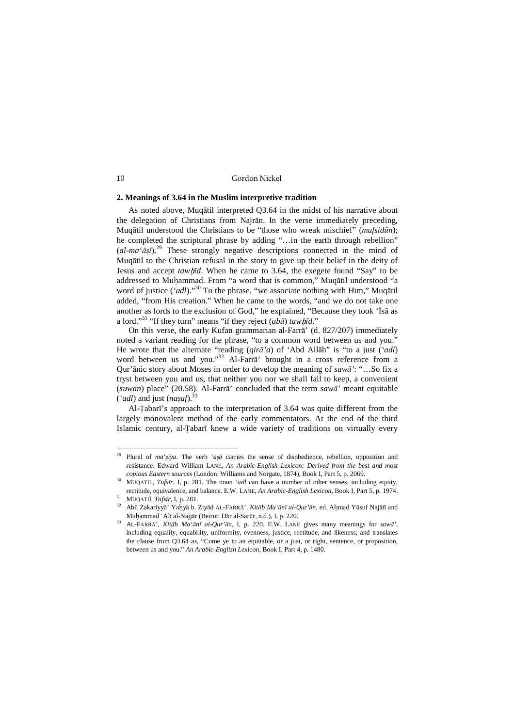#### **2. Meanings of 3.64 in the Muslim interpretive tradition**

As noted above, Muqātil interpreted Q3.64 in the midst of his narrative about the delegation of Christians from Najrān. In the verse immediately preceding, Muqātil understood the Christians to be "those who wreak mischief" (*mufsidūn*); he completed the scriptural phrase by adding "…in the earth through rebellion"  $(al-ma'\bar{a}s\bar{a})$ .<sup>29</sup> These strongly negative descriptions connected in the mind of Muqātil to the Christian refusal in the story to give up their belief in the deity of Jesus and accept *tawīd*. When he came to 3.64, the exegete found "Say" to be addressed to Muhammad. From "a word that is common," Muqātil understood "a word of justice ('adl)."<sup>30</sup> To the phrase, "we associate nothing with Him," Muqātil added, "from His creation." When he came to the words, "and we do not take one another as lords to the exclusion of God," he explained, "Because they took 'Īsā as a lord."<sup>31</sup> "If they turn" means "if they reject  $(ab\bar{a})$  *tawhid.*"

On this verse, the early Kufan grammarian al-Farrā' (d. 827/207) immediately noted a variant reading for the phrase, "to a common word between us and you." He wrote that the alternate "reading (*qirā'a*) of 'Abd Allāh" is "to a just (*'adl*) word between us and you."<sup>32</sup> Al-Farra<sup>'</sup> brought in a cross reference from a Qur'ānic story about Moses in order to develop the meaning of *sawā'*: "…So fix a tryst between you and us, that neither you nor we shall fail to keep, a convenient (*suwan*) place" (20.58). Al-Farrā' concluded that the term *sawā'* meant equitable (*'adl*) and just (*naṣaf*).<sup>33</sup>

Al-Ṭabarī's approach to the interpretation of 3.64 was quite different from the largely monovalent method of the early commentators. At the end of the third Islamic century, al-Ṭabarī knew a wide variety of traditions on virtually every

<sup>29</sup> Plural of *ma'ṣiya*. The verb *'aṣā* carries the sense of disobedience, rebellion, opposition and resistance. Edward William LANE, *An Arabic-English Lexicon: Derived from the best and most copious Eastern sources* (London: Williams and Norgate, 1874), Book I, Part 5, p. 2069.

<sup>30</sup> MUQĀTIL, *Tafsīr*, I, p. 281. The noun *'adl* can have a number of other senses, including equity, rectitude, equivalence, and balance. E.W. LANE, *An Arabic-English Lexicon*, Book I, Part 5, p. 1974. <sup>31</sup> MUQĀTIl, *Tafsīr*, I, p. 281.

<sup>32</sup> Abū Zakariyyā' Yaḥyā b. Ziyād AL-FARRĀ', *Kitāb Ma'ānī al-Qur'ān*, ed. Aḥmad Yūsuf Najātī and Muḥammad 'Alī al-Najjār (Beirut: Dār al-Sarūr, n.d.), I, p. 220.

<sup>33</sup> AL-FARRĀ', *Kitāb Ma'ānī al-Qur'ān*, I, p. 220. E.W. LANE gives many meanings for *sawā'*, including equality, equability, uniformity, evenness, justice, rectitude, and likeness; and translates the clause from Q3.64 as, "Come ye to an equitable, or a just, or right, sentence, or proposition, between us and you." *An Arabic-English Lexicon*, Book I, Part 4, p. 1480.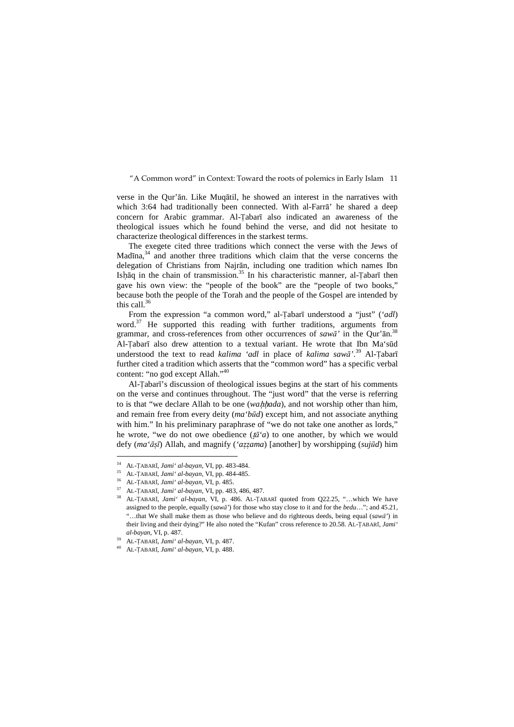verse in the Qur'ān. Like Muqātil, he showed an interest in the narratives with which 3:64 had traditionally been connected. With al-Farrā' he shared a deep concern for Arabic grammar. Al-Ṭabarī also indicated an awareness of the theological issues which he found behind the verse, and did not hesitate to characterize theological differences in the starkest terms.

The exegete cited three traditions which connect the verse with the Jews of  $Madina<sub>34</sub>$  and another three traditions which claim that the verse concerns the delegation of Christians from Najrān, including one tradition which names Ibn Isḥāq in the chain of transmission.<sup>35</sup> In his characteristic manner, al-Ṭabarī then gave his own view: the "people of the book" are the "people of two books," because both the people of the Torah and the people of the Gospel are intended by this call. $36$ 

From the expression "a common word," al-Ṭabarī understood a "just" (*'adl*) word. $37$  He supported this reading with further traditions, arguments from grammar, and cross-references from other occurrences of *sawā'* in the Qur'ān.<sup>38</sup> Al-Ṭabarī also drew attention to a textual variant. He wrote that Ibn Ma'sūd understood the text to read *kalima 'adl* in place of *kalima sawā'*. <sup>39</sup> Al-Ṭabarī further cited a tradition which asserts that the "common word" has a specific verbal content: "no god except Allah."<sup>40</sup>

Al-Ṭabarī's discussion of theological issues begins at the start of his comments on the verse and continues throughout. The "just word" that the verse is referring to is that "we declare Allah to be one *(wahhada)*, and not worship other than him, and remain free from every deity (*ma'būd*) except him, and not associate anything with him." In his preliminary paraphrase of "we do not take one another as lords," he wrote, "we do not owe obedience (*ā'a*) to one another, by which we would defy (*ma'āṣī*) Allah, and magnify (*'aẓẓama*) [another] by worshipping (*sujūd*) him

<sup>34</sup> AL-ṬABARĪ, *Jami' al-bayan*, VI, pp. 483-484.

<sup>35</sup> AL-ṬABARĪ, *Jami' al-bayan*, VI, pp. 484-485.

<sup>36</sup> AL-ṬABARĪ, *Jami' al-bayan*, VI, p. 485.

<sup>37</sup> AL-ṬABARĪ, *Jami' al-bayan*, VI, pp. 483, 486, 487.

<sup>38</sup> AL-ṬABARĪ, *Jami' al-bayan*, VI, p. 486. AL-ṬABARĪ quoted from Q22.25, "…which We have assigned to the people, equally (*sawā'*) for those who stay close to it and for the *bedu*…"; and 45.21, "…that We shall make them as those who believe and do righteous deeds, being equal (*sawā'*) in their living and their dying?" He also noted the "Kufan" cross reference to 20.58. AL-ṬABARĪ, *Jami' al-bayan*, VI, p. 487.

<sup>39</sup> AL-ṬABARĪ, *Jami' al-bayan*, VI, p. 487.

<sup>40</sup> AL-ṬABARĪ, *Jami' al-bayan*, VI, p. 488.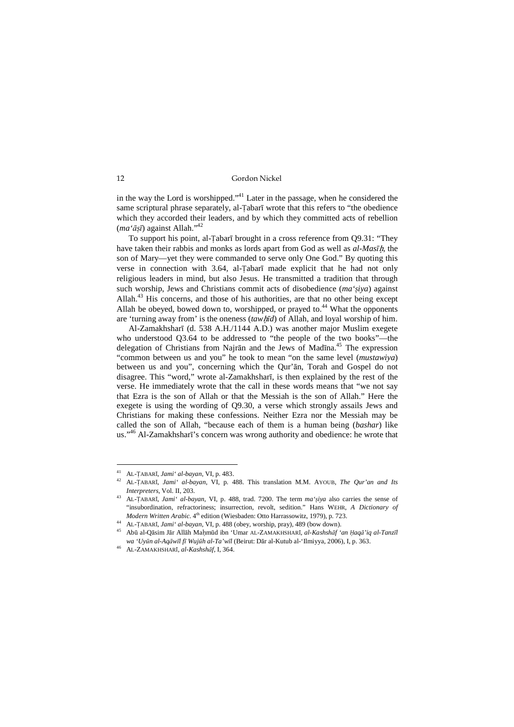in the way the Lord is worshipped."<sup>41</sup> Later in the passage, when he considered the same scriptural phrase separately, al-Tabarī wrote that this refers to "the obedience which they accorded their leaders, and by which they committed acts of rebellion (*ma'āṣī*) against Allah."<sup>42</sup>

To support his point, al-Ṭabarī brought in a cross reference from Q9.31: "They have taken their rabbis and monks as lords apart from God as well as *al-Masī*, the son of Mary—yet they were commanded to serve only One God." By quoting this verse in connection with 3.64, al-Ṭabarī made explicit that he had not only religious leaders in mind, but also Jesus. He transmitted a tradition that through such worship, Jews and Christians commit acts of disobedience (*ma'ṣiya*) against Allah.<sup>43</sup> His concerns, and those of his authorities, are that no other being except Allah be obeved, bowed down to, worshipped, or prayed to.<sup>44</sup> What the opponents are 'turning away from' is the oneness (*tawīd*) of Allah, and loyal worship of him.

Al-Zamakhsharī (d. 538 A.H./1144 A.D.) was another major Muslim exegete who understood Q3.64 to be addressed to "the people of the two books"—the delegation of Christians from Najrān and the Jews of Madīna.<sup>45</sup> The expression "common between us and you" he took to mean "on the same level (*mustawiya*) between us and you", concerning which the Qur'ān, Torah and Gospel do not disagree. This "word," wrote al-Zamakhsharī, is then explained by the rest of the verse. He immediately wrote that the call in these words means that "we not say that Ezra is the son of Allah or that the Messiah is the son of Allah." Here the exegete is using the wording of Q9.30, a verse which strongly assails Jews and Christians for making these confessions. Neither Ezra nor the Messiah may be called the son of Allah, "because each of them is a human being (*bashar*) like us."<sup>46</sup> Al-Zamakhsharī's concern was wrong authority and obedience: he wrote that

<sup>41</sup> AL-ṬABARĪ, *Jami' al-bayan*, VI, p. 483.

<sup>42</sup> AL-ṬABARĪ, *Jami' al-bayan*, VI, p. 488. This translation M.M. AYOUB, *The Qur'an and Its Interpreters,* Vol. II, 203.

<sup>43</sup> AL-ṬABARĪ, *Jami' al-bayan*, VI, p. 488, trad. 7200. The term *ma'ṣiya* also carries the sense of "insubordination, refractoriness; insurrection, revolt, sedition." Hans WEHR, *A Dictionary of Modern Written Arabic*. 4<sup>th</sup> edition (Wiesbaden: Otto Harrassowitz, 1979), p. 723.

<sup>44</sup> AL-ṬABARĪ, *Jami' al-bayan*, VI, p. 488 (obey, worship, pray), 489 (bow down).

<sup>45</sup> Abū al-Qāsim Jār Allāh Maḥmūd ibn 'Umar AL-ZAMAKHSHARĪ, *al-Kashshāf 'an Ḥaqā'iq al-Tanzīl wa 'Uyūn al-Aqāwīl fī Wujūh al-Ta'wīl* (Beirut: Dār al-Kutub al-'Ilmiyya, 2006), I, p. 363.

<sup>46</sup> AL-ZAMAKHSHARĪ, *al-Kashshāf*, I, 364.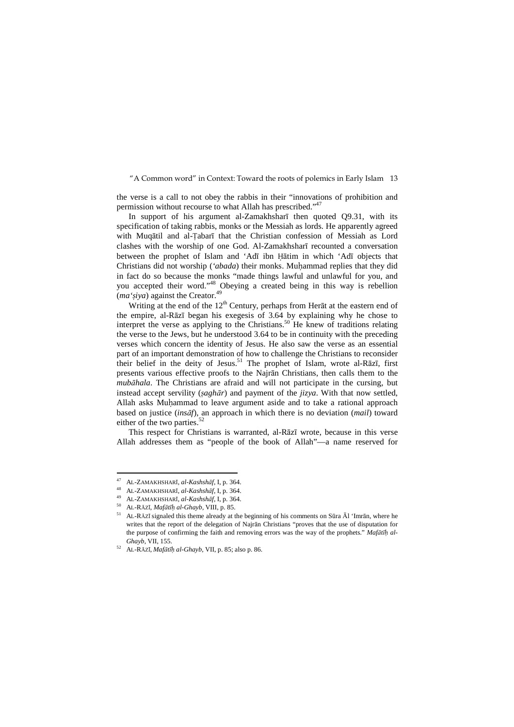the verse is a call to not obey the rabbis in their "innovations of prohibition and permission without recourse to what Allah has prescribed."<sup>47</sup>

In support of his argument al-Zamakhsharī then quoted Q9.31, with its specification of taking rabbis, monks or the Messiah as lords. He apparently agreed with Muqātil and al-Ṭabarī that the Christian confession of Messiah as Lord clashes with the worship of one God. Al-Zamakhsharī recounted a conversation between the prophet of Islam and 'Adī ibn Ḥātim in which 'Adī objects that Christians did not worship (*'abada*) their monks. Muḥammad replies that they did in fact do so because the monks "made things lawful and unlawful for you, and you accepted their word."<sup>48</sup> Obeying a created being in this way is rebellion (*ma* '*siya*) against the Creator.<sup>49</sup>

Writing at the end of the  $12<sup>th</sup>$  Century, perhaps from Herāt at the eastern end of the empire, al-Rāzī began his exegesis of 3.64 by explaining why he chose to interpret the verse as applying to the Christians.<sup>50</sup> He knew of traditions relating the verse to the Jews, but he understood 3.64 to be in continuity with the preceding verses which concern the identity of Jesus. He also saw the verse as an essential part of an important demonstration of how to challenge the Christians to reconsider their belief in the deity of Jesus.<sup>51</sup> The prophet of Islam, wrote al-Rāzī, first presents various effective proofs to the Najrān Christians, then calls them to the *mubāhala*. The Christians are afraid and will not participate in the cursing, but instead accept servility (*ṣaghār*) and payment of the *jizya*. With that now settled, Allah asks Muhammad to leave argument aside and to take a rational approach based on justice (*insāf*), an approach in which there is no deviation (*mail*) toward either of the two parties.<sup>52</sup>

This respect for Christians is warranted, al-Rāzī wrote, because in this verse Allah addresses them as "people of the book of Allah"—a name reserved for

 $47$ <sup>47</sup> AL-ZAMAKHSHARĪ, *al-Kashshāf*, I, p. 364.

<sup>48</sup> AL-ZAMAKHSHARĪ, *al-Kashshāf*, I, p. 364.

<sup>49</sup> AL-ZAMAKHSHARĪ, *al-Kashshāf*, I, p. 364.

<sup>50</sup> AL-RĀZĪ, *Mafātīḥ al-Ghayb,* VIII, p. 85.

<sup>51</sup> AL-RĀZ<sup>Ī</sup> signaled this theme already at the beginning of his comments on Sūra Āl 'Imrān, where he writes that the report of the delegation of Najrān Christians "proves that the use of disputation for the purpose of confirming the faith and removing errors was the way of the prophets." *Mafātīḥ al-Ghayb*, VII, 155.

<sup>52</sup> AL-RĀZĪ, *Mafātīḥ al-Ghayb*, VII, p. 85; also p. 86.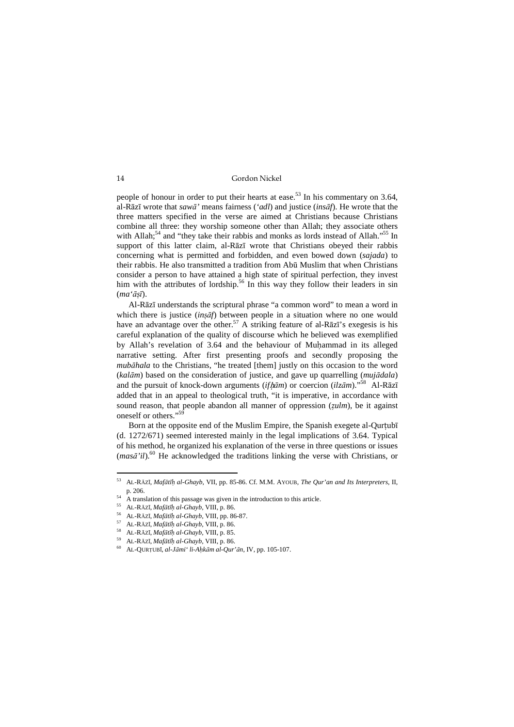people of honour in order to put their hearts at ease.<sup>53</sup> In his commentary on 3.64, al-Rāzī wrote that *sawā'* means fairness (*'adl*) and justice (*insāf*). He wrote that the three matters specified in the verse are aimed at Christians because Christians combine all three: they worship someone other than Allah; they associate others with Allah;<sup>54</sup> and "they take their rabbis and monks as lords instead of Allah."<sup>55</sup> In support of this latter claim, al-Rāzī wrote that Christians obeyed their rabbis concerning what is permitted and forbidden, and even bowed down (*sajada*) to their rabbis. He also transmitted a tradition from Abū Muslim that when Christians consider a person to have attained a high state of spiritual perfection, they invest him with the attributes of lordship.<sup>56</sup> In this way they follow their leaders in sin (*ma'āṣī*).

Al-Rāzī understands the scriptural phrase "a common word" to mean a word in which there is justice *(insaf)* between people in a situation where no one would have an advantage over the other.<sup>57</sup> A striking feature of al-Rāzī's exegesis is his careful explanation of the quality of discourse which he believed was exemplified by Allah's revelation of 3.64 and the behaviour of Muḥammad in its alleged narrative setting. After first presenting proofs and secondly proposing the *mubāhala* to the Christians, "he treated [them] justly on this occasion to the word (*kalām*) based on the consideration of justice, and gave up quarrelling (*mujādala*) and the pursuit of knock-down arguments (*ifām*) or coercion (*ilzām*)."<sup>58</sup> Al-Rāzī added that in an appeal to theological truth, "it is imperative, in accordance with sound reason, that people abandon all manner of oppression (*ẓulm*), be it against oneself or others."<sup>59</sup>

Born at the opposite end of the Muslim Empire, the Spanish exegete al-Qurṭubī (d. 1272/671) seemed interested mainly in the legal implications of 3.64. Typical of his method, he organized his explanation of the verse in three questions or issues (*masā'il*).<sup>60</sup> He acknowledged the traditions linking the verse with Christians, or

<sup>53</sup> <sup>53</sup> AL-RĀZĪ, *Mafātīḥ al-Ghayb*, VII, pp. 85-86. Cf. M.M. AYOUB, *The Qur'an and Its Interpreters*, II, p. 206.

 $54$  A translation of this passage was given in the introduction to this article.

<sup>55</sup> AL-RĀZĪ, *Mafātīḥ al-Ghayb*, VIII, p. 86.

<sup>56</sup> AL-RĀZĪ, *Mafātīḥ al-Ghayb*, VIII, pp. 86-87.

<sup>57</sup> AL-RĀZĪ, *Mafātīḥ al-Ghayb*, VIII, p. 86.

<sup>58</sup> AL-RĀZĪ, *Mafātīḥ al-Ghayb*, VIII, p. 85.

<sup>59</sup> AL-RĀZĪ, *Mafātīḥ al-Ghayb*, VIII, p. 86.

<sup>60</sup> AL-QURṬUBĪ, *al-Jāmi' li-Aḥkām al-Qur'ān*, IV, pp. 105-107.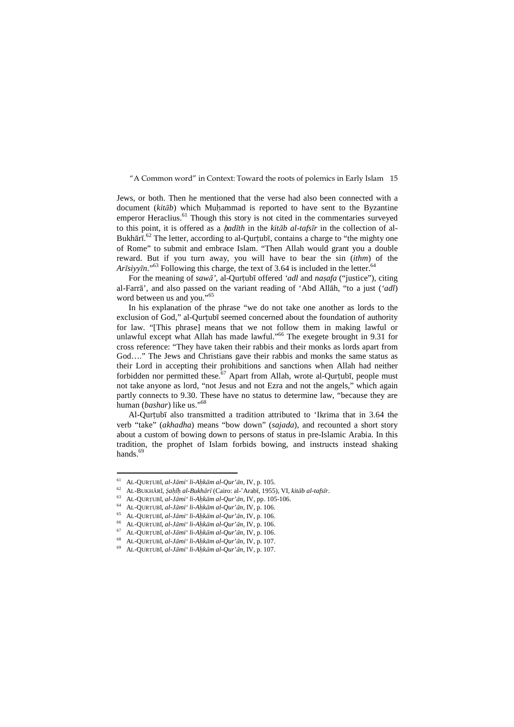Jews, or both. Then he mentioned that the verse had also been connected with a document (*kitāb*) which Muhammad is reported to have sent to the Byzantine emperor Heraclius.<sup>61</sup> Though this story is not cited in the commentaries surveyed to this point, it is offered as a *adīth* in the *kitāb al-tafsīr* in the collection of al-Bukhārī.<sup>62</sup> The letter, according to al-Qurṭubī, contains a charge to "the mighty one of Rome" to submit and embrace Islam. "Then Allah would grant you a double reward. But if you turn away, you will have to bear the sin (*ithm*) of the  $A$ *rīsiyyīn*."<sup>63</sup> Following this charge, the text of 3.64 is included in the letter.<sup>6</sup>

For the meaning of *sawā'*, al-Qurṭubī offered *'adl* and *naṣafa* ("justice"), citing al-Farrā', and also passed on the variant reading of 'Abd Allāh, "to a just (*'adl*) word between us and you."<sup>65</sup>

In his explanation of the phrase "we do not take one another as lords to the exclusion of God," al-Ourtubī seemed concerned about the foundation of authority for law. "[This phrase] means that we not follow them in making lawful or unlawful except what Allah has made lawful."<sup>66</sup> The exegete brought in 9.31 for cross reference: "They have taken their rabbis and their monks as lords apart from God…." The Jews and Christians gave their rabbis and monks the same status as their Lord in accepting their prohibitions and sanctions when Allah had neither forbidden nor permitted these. $67$  Apart from Allah, wrote al-Qurtubi, people must not take anyone as lord, "not Jesus and not Ezra and not the angels," which again partly connects to 9.30. These have no status to determine law, "because they are human (*bashar*) like us."<sup>68</sup>

Al-Qurṭubī also transmitted a tradition attributed to 'Ikrima that in 3.64 the verb "take" (*akhadha*) means "bow down" (*sajada*), and recounted a short story about a custom of bowing down to persons of status in pre-Islamic Arabia. In this tradition, the prophet of Islam forbids bowing, and instructs instead shaking hands. $69$ 

<sup>61</sup> AL-QURṬUBĪ, *al-Jāmi' li-Aḥkām al-Qur'ān*, IV, p. 105.

<sup>62</sup> AL-BUKHĀRĪ, *Ṣaḥīḥ al-Bukhārī* (Cairo: al-'Arabī, 1955), VI, *kitāb al-tafsīr*.

<sup>63</sup> AL-QURṬUBĪ, *al-Jāmi' li-Aḥkām al-Qur'ān*, IV, pp. 105-106.

<sup>64</sup> AL-QURṬUBĪ, *al-Jāmi' li-Aḥkām al-Qur'ān*, IV, p. 106.

<sup>65</sup> AL-QURṬUBĪ, *al-Jāmi' li-Aḥkām al-Qur'ān*, IV, p. 106.

<sup>66</sup> AL-QURṬUBĪ, *al-Jāmi' li-Aḥkām al-Qur'ān*, IV, p. 106.

<sup>67</sup> AL-QURṬUBĪ, *al-Jāmi' li-Aḥkām al-Qur'ān*, IV, p. 106.

<sup>68</sup> AL-QURṬUBĪ, *al-Jāmi' li-Aḥkām al-Qur'ān*, IV, p. 107.

<sup>69</sup> AL-QURṬUBĪ, *al-Jāmi' li-Aḥkām al-Qur'ān*, IV, p. 107.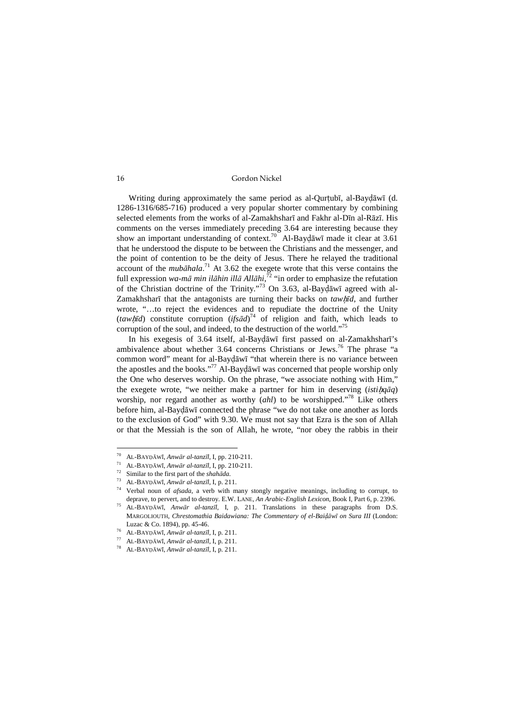Writing during approximately the same period as al-Qurṭubī, al-Bayḍāwī (d. 1286-1316/685-716) produced a very popular shorter commentary by combining selected elements from the works of al-Zamakhsharī and Fakhr al-Dīn al-Rāzī. His comments on the verses immediately preceding 3.64 are interesting because they show an important understanding of context.<sup>70</sup> Al-Bay $d$ āwī made it clear at 3.61 that he understood the dispute to be between the Christians and the messenger, and the point of contention to be the deity of Jesus. There he relayed the traditional account of the *mubāhala*. <sup>71</sup> At 3.62 the exegete wrote that this verse contains the full expression *wa-mā min ilāhin illā Allāhi*, <sup>72</sup> "in order to emphasize the refutation of the Christian doctrine of the Trinity."<sup>73</sup> On 3.63, al-Bayḍāwī agreed with al-Zamakhsharī that the antagonists are turning their backs on *tawīd*, and further wrote, "...to reject the evidences and to repudiate the doctrine of the Unity (*tawh* $\bar{u}$ *d*) constitute corruption (*ifs* $\bar{a}d$ )<sup>74</sup> of religion and faith, which leads to corruption of the soul, and indeed, to the destruction of the world."<sup>75</sup>

In his exegesis of 3.64 itself, al-Bayḍāwī first passed on al-Zamakhsharī's ambivalence about whether 3.64 concerns Christians or Jews.<sup>76</sup> The phrase "a common word" meant for al-Bayḍāwī "that wherein there is no variance between the apostles and the books."<sup>77</sup> Al-Bayḍāwī was concerned that people worship only the One who deserves worship. On the phrase, "we associate nothing with Him," the exegete wrote, "we neither make a partner for him in deserving  $(i\pi h q \bar{q} q)$ worship, nor regard another as worthy *(ahl)* to be worshipped."<sup>78</sup> Like others before him, al-Bayḍāwī connected the phrase "we do not take one another as lords to the exclusion of God" with 9.30. We must not say that Ezra is the son of Allah or that the Messiah is the son of Allah, he wrote, "nor obey the rabbis in their

<sup>70</sup> <sup>70</sup> AL-BAYḌĀWĪ, *Anwār al-tanzīl*, I, pp. 210-211.

<sup>71</sup> AL-BAYḌĀWĪ, *Anwār al-tanzīl*, I, pp. 210-211.

<sup>72</sup> Similar to the first part of the *shahāda*.

<sup>73</sup> AL-BAYḌĀWĪ, *Anwār al-tanzīl*, I, p. 211.

<sup>&</sup>lt;sup>74</sup> Verbal noun of *afsada*, a verb with many stongly negative meanings, including to corrupt, to deprave, to pervert, and to destroy. E.W. LANE, *An Arabic-English Lexicon*, Book I, Part 6, p. 2396.

<sup>75</sup> AL-BAYḌĀWĪ, *Anwār al-tanzīl*, I, p. 211. Translations in these paragraphs from D.S. MARGOLIOUTH, *Chrestomathia Baidawiana: The Commentary of el-Baiḍāwī on Sura III* (London: Luzac & Co. 1894), pp. 45-46.

<sup>76</sup> AL-BAYḌĀWĪ, *Anwār al-tanzīl*, I, p. 211.

<sup>77</sup> AL-BAYḌĀWĪ, *Anwār al-tanzīl*, I, p. 211.

<sup>78</sup> AL-BAYḌĀWĪ, *Anwār al-tanzīl*, I, p. 211.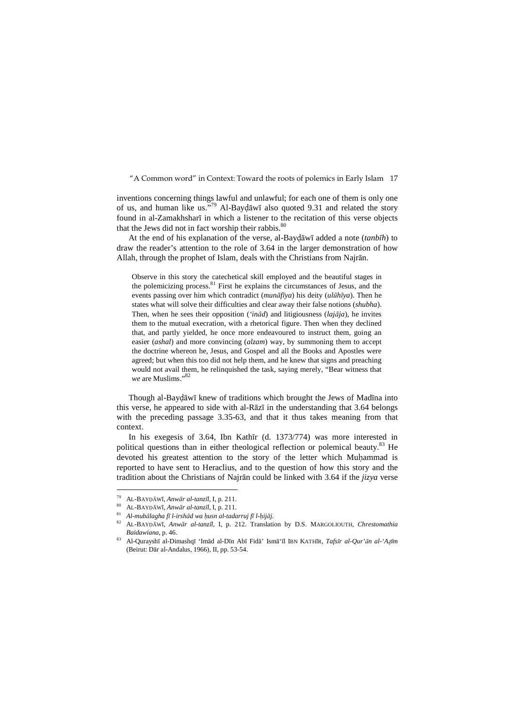inventions concerning things lawful and unlawful; for each one of them is only one of us, and human like us."<sup>79</sup> Al-Bayḍāwī also quoted 9.31 and related the story found in al-Zamakhsharī in which a listener to the recitation of this verse objects that the Jews did not in fact worship their rabbis.<sup>80</sup>

At the end of his explanation of the verse, al-Bayḍāwī added a note (*tanbīh*) to draw the reader's attention to the role of 3.64 in the larger demonstration of how Allah, through the prophet of Islam, deals with the Christians from Najrān.

Observe in this story the catechetical skill employed and the beautiful stages in the polemicizing process. $81$  First he explains the circumstances of Jesus, and the events passing over him which contradict (*munāfīya*) his deity (*ulūhīya*). Then he states what will solve their difficulties and clear away their false notions (*shubha*). Then, when he sees their opposition (*'inād*) and litigiousness (*lajāja*), he invites them to the mutual execration, with a rhetorical figure. Then when they declined that, and partly yielded, he once more endeavoured to instruct them, going an easier (*ashal*) and more convincing (*alzam*) way, by summoning them to accept the doctrine whereon he, Jesus, and Gospel and all the Books and Apostles were agreed; but when this too did not help them, and he knew that signs and preaching would not avail them, he relinquished the task, saying merely, "Bear witness that *we* are Muslims."

Though al-Bayḍāwī knew of traditions which brought the Jews of Madīna into this verse, he appeared to side with al-Rāzī in the understanding that 3.64 belongs with the preceding passage 3.35-63, and that it thus takes meaning from that context.

In his exegesis of 3.64, Ibn Kathīr (d. 1373/774) was more interested in political questions than in either theological reflection or polemical beauty.<sup>83</sup> He devoted his greatest attention to the story of the letter which Muḥammad is reported to have sent to Heraclius, and to the question of how this story and the tradition about the Christians of Najrān could be linked with 3.64 if the *jizya* verse

<sup>79</sup> AL-BAYḌĀWĪ, *Anwār al-tanzīl*, I, p. 211.

<sup>80</sup> AL-BAYḌĀWĪ, *Anwār al-tanzīl*, I, p. 211.

<sup>81</sup> *Al-mubālagha fī l-irshād wa ḥusn al-tadarruj fī l-ḥijāj*.

<sup>82</sup> AL-BAYḌĀWĪ, *Anwār al-tanzīl*, I, p. 212. Translation by D.S. MARGOLIOUTH, *Chrestomathia Baidawiana*, p. 46.

<sup>83</sup> Al-Qurayshī al-Dimashqī 'Imād al-Dīn Abī Fidā' Ismā'īl IBN KATHĪR, *Tafsīr al-Qur'ān al-'Aīm* (Beirut: Dār al-Andalus, 1966), II, pp. 53-54.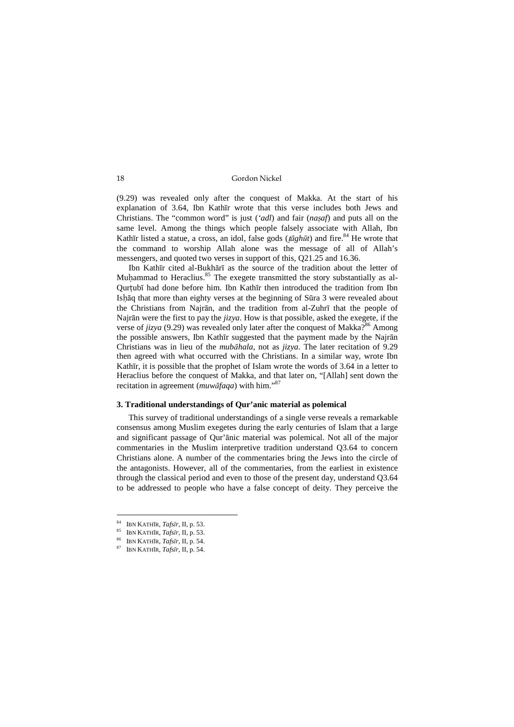(9.29) was revealed only after the conquest of Makka. At the start of his explanation of 3.64, Ibn Kathīr wrote that this verse includes both Jews and Christians. The "common word" is just (*'adl*) and fair (*naṣaf*) and puts all on the same level. Among the things which people falsely associate with Allah, Ibn Kathīr listed a statue, a cross, an idol, false gods ( $t\bar{a}gh\bar{a}t$ ) and fire.<sup>84</sup> He wrote that the command to worship Allah alone was the message of all of Allah's messengers, and quoted two verses in support of this, Q21.25 and 16.36.

Ibn Kathīr cited al-Bukhārī as the source of the tradition about the letter of Muḥammad to Heraclius.<sup>85</sup> The exegete transmitted the story substantially as al-Qurṭubī had done before him. Ibn Kathīr then introduced the tradition from Ibn Isḥāq that more than eighty verses at the beginning of Sūra 3 were revealed about the Christians from Najrān, and the tradition from al-Zuhrī that the people of Najrān were the first to pay the *jizya*. How is that possible, asked the exegete, if the verse of  $jizya$  (9.29) was revealed only later after the conquest of Makka?<sup>86</sup> Among the possible answers, Ibn Kathīr suggested that the payment made by the Najrān Christians was in lieu of the *mubāhala*, not as *jizya*. The later recitation of 9.29 then agreed with what occurred with the Christians. In a similar way, wrote Ibn Kathīr, it is possible that the prophet of Islam wrote the words of 3.64 in a letter to Heraclius before the conquest of Makka, and that later on, "[Allah] sent down the recitation in agreement (*muwāfaqa*) with him."<sup>87</sup>

#### **3. Traditional understandings of Qur'anic material as polemical**

This survey of traditional understandings of a single verse reveals a remarkable consensus among Muslim exegetes during the early centuries of Islam that a large and significant passage of Qur'ānic material was polemical. Not all of the major commentaries in the Muslim interpretive tradition understand Q3.64 to concern Christians alone. A number of the commentaries bring the Jews into the circle of the antagonists. However, all of the commentaries, from the earliest in existence through the classical period and even to those of the present day, understand Q3.64 to be addressed to people who have a false concept of deity. They perceive the

<sup>84</sup> IBN KATHĪR, *Tafsīr*, II, p. 53.

<sup>85</sup> IBN KATHĪR, *Tafsīr*, II, p. 53.

<sup>86</sup> IBN KATHĪR, *Tafsīr*, II, p. 54.

<sup>87</sup> IBN KATHĪR, *Tafsīr*, II, p. 54.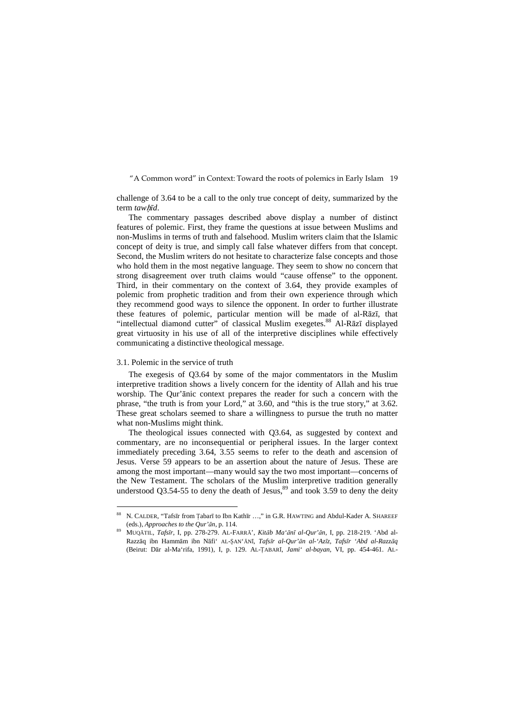challenge of 3.64 to be a call to the only true concept of deity, summarized by the term *tawīd*.

The commentary passages described above display a number of distinct features of polemic. First, they frame the questions at issue between Muslims and non-Muslims in terms of truth and falsehood. Muslim writers claim that the Islamic concept of deity is true, and simply call false whatever differs from that concept. Second, the Muslim writers do not hesitate to characterize false concepts and those who hold them in the most negative language. They seem to show no concern that strong disagreement over truth claims would "cause offense" to the opponent. Third, in their commentary on the context of 3.64, they provide examples of polemic from prophetic tradition and from their own experience through which they recommend good ways to silence the opponent. In order to further illustrate these features of polemic, particular mention will be made of al-Rāzī, that "intellectual diamond cutter" of classical Muslim exegetes.<sup>88</sup> Al-Rāzī displayed great virtuosity in his use of all of the interpretive disciplines while effectively communicating a distinctive theological message.

#### 3.1. Polemic in the service of truth

 $\overline{a}$ 

The exegesis of Q3.64 by some of the major commentators in the Muslim interpretive tradition shows a lively concern for the identity of Allah and his true worship. The Qur'ānic context prepares the reader for such a concern with the phrase, "the truth is from your Lord," at 3.60, and "this is the true story," at 3.62. These great scholars seemed to share a willingness to pursue the truth no matter what non-Muslims might think.

The theological issues connected with Q3.64, as suggested by context and commentary, are no inconsequential or peripheral issues. In the larger context immediately preceding 3.64, 3.55 seems to refer to the death and ascension of Jesus. Verse 59 appears to be an assertion about the nature of Jesus. These are among the most important—many would say the two most important—concerns of the New Testament. The scholars of the Muslim interpretive tradition generally understood Q3.54-55 to deny the death of Jesus, $89$  and took 3.59 to deny the deity

<sup>88</sup> N. CALDER, "Tafsīr from Țabarī to Ibn Kathīr ...," in G.R. HAWTING and Abdul-Kader A. SHAREEF (eds.), *Approaches to the Qur'ān*, p. 114.

<sup>89</sup> MUQĀTIL, *Tafsīr*, I, pp. 278-279. AL-FARRĀ', *Kitāb Ma'ānī al-Qur'ān*, I, pp. 218-219. 'Abd al-Razzāq ibn Hammām ibn Nāfi' AL-ṢAN'ĀNĪ, *Tafsīr al-Qur'ān al-'Azīz, Tafsīr 'Abd al-Razzāq* (Beirut: Dār al-Ma'rifa, 1991), I, p. 129. AL-ṬABARĪ, *Jami' al-bayan*, VI, pp. 454-461. AL-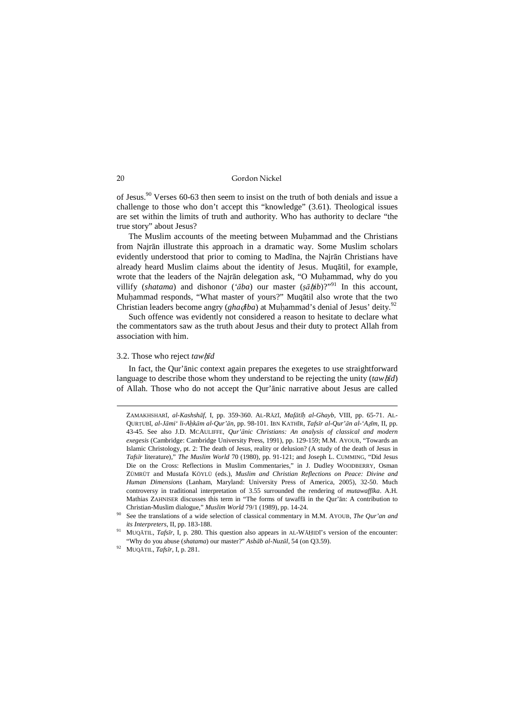of Jesus.<sup>90</sup> Verses 60-63 then seem to insist on the truth of both denials and issue a challenge to those who don't accept this "knowledge" (3.61). Theological issues are set within the limits of truth and authority. Who has authority to declare "the true story" about Jesus?

The Muslim accounts of the meeting between Muḥammad and the Christians from Najrān illustrate this approach in a dramatic way. Some Muslim scholars evidently understood that prior to coming to Madīna, the Najrān Christians have already heard Muslim claims about the identity of Jesus. Muqātil, for example, wrote that the leaders of the Najrān delegation ask, "O Muḥammad, why do you villify (*shatama*) and dishonor (*'āba*) our master (*ṣāib*)?"<sup>91</sup> In this account, Muḥammad responds, "What master of yours?" Muqātil also wrote that the two Christian leaders become angry (*ghaiba*) at Muḥammad's denial of Jesus' deity.<sup>92</sup>

Such offence was evidently not considered a reason to hesitate to declare what the commentators saw as the truth about Jesus and their duty to protect Allah from association with him.

#### 3.2. Those who reject *tawīd*

In fact, the Qur'ānic context again prepares the exegetes to use straightforward language to describe those whom they understand to be rejecting the unity (*tawīd*) of Allah. Those who do not accept the Qur'ānic narrative about Jesus are called

ZAMAKHSHARĪ, *al-Kashshāf*, I, pp. 359-360. AL-RĀZĪ, *Mafātīḥ al-Ghayb*, VIII, pp. 65-71. AL-QURṬUBĪ, *al-Jāmi' li-Aḥkām al-Qur'ān*, pp. 98-101. IBN KATHĪR, *Tafsīr al-Qur'ān al-'Aīm*, II, pp. 43-45. See also J.D. MCAULIFFE, *Qur'ānic Christians: An analysis of classical and modern exegesis* (Cambridge: Cambridge University Press, 1991), pp. 129-159; M.M. AYOUB, "Towards an Islamic Christology, pt. 2: The death of Jesus, reality or delusion? (A study of the death of Jesus in *Tafsīr* literature)," *The Muslim World* 70 (1980), pp. 91-121; and Joseph L. CUMMING, "Did Jesus Die on the Cross: Reflections in Muslim Commentaries," in J. Dudley WOODBERRY, Osman ZÜMRÜT and Mustafa KÖYLÜ (eds.), *Muslim and Christian Reflections on Peace: Divine and Human Dimensions* (Lanham, Maryland: University Press of America, 2005), 32-50. Much controversy in traditional interpretation of 3.55 surrounded the rendering of *mutawaffīka*. A.H. Mathias ZAHNISER discusses this term in "The forms of tawaffā in the Qur'ān: A contribution to Christian-Muslim dialogue," *Muslim World* 79/1 (1989), pp. 14-24.

<sup>90</sup> See the translations of a wide selection of classical commentary in M.M. AYOUB, *The Qur'an and its Interpreters*, II, pp. 183-188.

<sup>&</sup>lt;sup>91</sup> MUQĀTIL, *Tafsīr*, I, p. 280. This question also appears in AL-WĀḤIDĪ's version of the encounter: "Why do you abuse (*shatama*) our master?" *Asbāb al-Nuzūl*, 54 (on Q3.59).

<sup>92</sup> MUQĀTIL, *Tafsīr*, I, p. 281.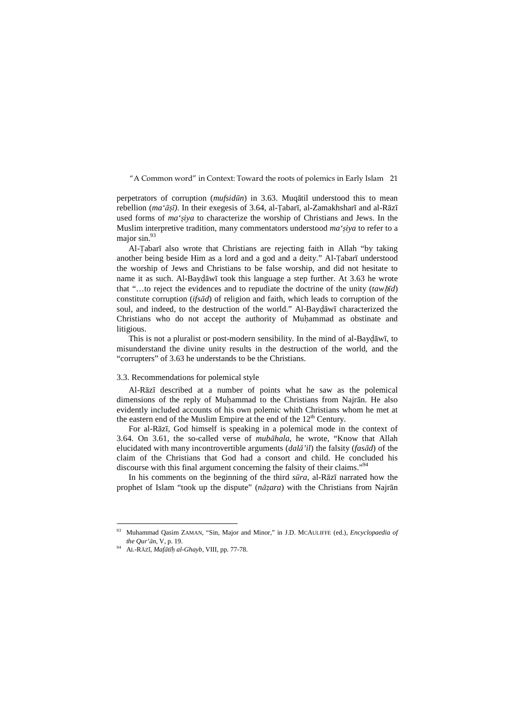perpetrators of corruption (*mufsidūn*) in 3.63. Muqātil understood this to mean rebellion (*ma'āṣī)*. In their exegesis of 3.64, al-Ṭabarī, al-Zamakhsharī and al-Rāzī used forms of *ma'ṣiya* to characterize the worship of Christians and Jews. In the Muslim interpretive tradition, many commentators understood *ma'ṣiya* to refer to a major sin.<sup>9</sup>

Al-Ṭabarī also wrote that Christians are rejecting faith in Allah "by taking another being beside Him as a lord and a god and a deity." Al-Ṭabarī understood the worship of Jews and Christians to be false worship, and did not hesitate to name it as such. Al-Bayḍāwī took this language a step further. At 3.63 he wrote that "…to reject the evidences and to repudiate the doctrine of the unity (*tawīd*) constitute corruption (*ifsād*) of religion and faith, which leads to corruption of the soul, and indeed, to the destruction of the world." Al-Bayḍāwī characterized the Christians who do not accept the authority of Muḥammad as obstinate and litigious.

This is not a pluralist or post-modern sensibility. In the mind of al-Bayḍāwī, to misunderstand the divine unity results in the destruction of the world, and the "corrupters" of 3.63 he understands to be the Christians.

#### 3.3. Recommendations for polemical style

Al-Rāzī described at a number of points what he saw as the polemical dimensions of the reply of Muḥammad to the Christians from Najrān. He also evidently included accounts of his own polemic whith Christians whom he met at the eastern end of the Muslim Empire at the end of the  $12<sup>th</sup>$  Century.

For al-Rāzī, God himself is speaking in a polemical mode in the context of 3.64. On 3.61, the so-called verse of *mubāhala*, he wrote, "Know that Allah elucidated with many incontrovertible arguments (*dalā'il*) the falsity (*fasād*) of the claim of the Christians that God had a consort and child. He concluded his discourse with this final argument concerning the falsity of their claims."<sup>94</sup>

In his comments on the beginning of the third *sūra*, al-Rāzī narrated how the prophet of Islam "took up the dispute" (*nāẓara*) with the Christians from Najrān

<sup>93</sup> Muhammad Qasim ZAMAN, "Sin, Major and Minor," in J.D. MCAULIFFE (ed.), *Encyclopaedia of the Qur'ān*, V, p. 19.

<sup>94</sup> AL-RĀZĪ, *Mafātīḥ al-Ghayb*, VIII, pp. 77-78.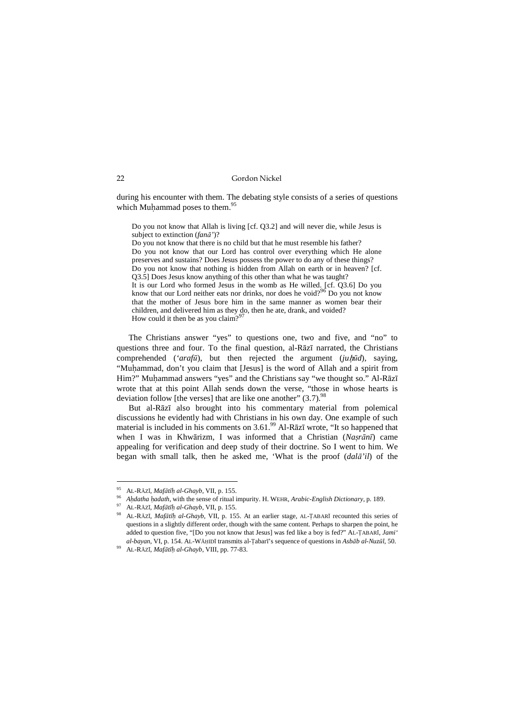during his encounter with them. The debating style consists of a series of questions which Muḥammad poses to them.<sup>95</sup>

Do you not know that Allah is living [cf. Q3.2] and will never die, while Jesus is subject to extinction (*fanā'*)?

Do you not know that there is no child but that he must resemble his father? Do you not know that our Lord has control over everything which He alone preserves and sustains? Does Jesus possess the power to do any of these things? Do you not know that nothing is hidden from Allah on earth or in heaven? [cf. Q3.5] Does Jesus know anything of this other than what he was taught? It is our Lord who formed Jesus in the womb as He willed. [cf. Q3.6] Do you hot know that our Lord neither eats nor drinks, nor does he void?<sup>96</sup> Do you not know that the mother of Jesus bore him in the same manner as women bear their children, and delivered him as they do, then he ate, drank, and voided?<br>How could it then be as you claim?<sup>97</sup>

The Christians answer "yes" to questions one, two and five, and "no" to questions three and four. To the final question, al-Rāzī narrated, the Christians comprehended (*'arafū*), but then rejected the argument (*juūd*), saying, "Muhammad, don't you claim that [Jesus] is the word of Allah and a spirit from Him?" Muhammad answers "yes" and the Christians say "we thought so." Al-Rāzī wrote that at this point Allah sends down the verse, "those in whose hearts is deviation follow [the verses] that are like one another"  $(3.7)$ .<sup>98</sup>

But al-Rāzī also brought into his commentary material from polemical discussions he evidently had with Christians in his own day. One example of such material is included in his comments on 3.61.<sup>99</sup> Al-Rāzī wrote, "It so happened that when I was in Khwārizm, I was informed that a Christian (*Naṣrānī*) came appealing for verification and deep study of their doctrine. So I went to him. We began with small talk, then he asked me, 'What is the proof (*dalā'il*) of the

<sup>95</sup> <sup>95</sup> AL-RĀZĪ, *Mafātīḥ al-Ghayb*, VII, p. 155.

<sup>96</sup> *Aḥdatha ḥadath*, with the sense of ritual impurity. H. WEHR, *Arabic-English Dictionary*, p. 189.

<sup>97</sup> AL-RĀZĪ, *Mafātīḥ al-Ghayb*, VII, p. 155.

<sup>98</sup> AL-RĀZĪ, *Mafātīḥ al-Ghayb*, VII, p. 155. At an earlier stage, AL-ṬABARĪ recounted this series of questions in a slightly different order, though with the same content. Perhaps to sharpen the point, he added to question five, "[Do you not know that Jesus] was fed like a boy is fed?" AL-ṬABARĪ, *Jami' al-bayan*, VI, p. 154. AL-WĀḤIDĪ transmits al-Ṭabarī's sequence of questions in *Asbāb al-Nuzūl*, 50.

<sup>99</sup> AL-RĀZĪ, *Mafātīḥ al-Ghayb*, VIII, pp. 77-83.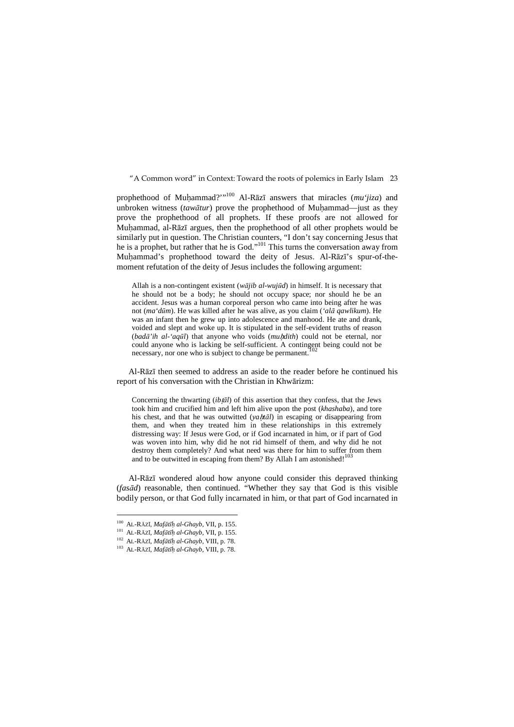prophethood of Muḥammad?'"<sup>100</sup> Al-Rāzī answers that miracles (*mu'jiza*) and unbroken witness (*tawātur*) prove the prophethood of Muḥammad—just as they prove the prophethood of all prophets. If these proofs are not allowed for Muhammad, al-Rāzī argues, then the prophethood of all other prophets would be similarly put in question. The Christian counters, "I don't say concerning Jesus that he is a prophet, but rather that he is God."<sup>101</sup> This turns the conversation away from Muḥammad's prophethood toward the deity of Jesus. Al-Rāzī's spur-of-themoment refutation of the deity of Jesus includes the following argument:

Allah is a non-contingent existent (*wājib al-wujūd*) in himself. It is necessary that he should not be a body; he should not occupy space; nor should he be an accident. Jesus was a human corporeal person who came into being after he was not (*ma'dūm*). He was killed after he was alive, as you claim (*'alā qawlikum*). He was an infant then he grew up into adolescence and manhood. He ate and drank, voided and slept and woke up. It is stipulated in the self-evident truths of reason (*badā'ih al-'aqūl*) that anyone who voids (*mudith*) could not be eternal, nor could anyone who is lacking be self-sufficient. A contingent being could not be necessary, nor one who is subject to change be permanent.

Al-Rāzī then seemed to address an aside to the reader before he continued his report of his conversation with the Christian in Khwārizm:

Concerning the thwarting (*ibāl*) of this assertion that they confess, that the Jews took him and crucified him and left him alive upon the post (*khashaba*), and tore his chest, and that he was outwitted (*yatāl*) in escaping or disappearing from them, and when they treated him in these relationships in this extremely distressing way: If Jesus were God, or if God incarnated in him, or if part of God was woven into him, why did he not rid himself of them, and why did he not destroy them completely? And what need was there for him to suffer from them and to be outwitted in escaping from them? By Allah I am astonished!<sup>103</sup>

Al-Rāzī wondered aloud how anyone could consider this depraved thinking (*fasād*) reasonable, then continued. "Whether they say that God is this visible bodily person, or that God fully incarnated in him, or that part of God incarnated in

<sup>100</sup> AL-RĀZĪ, *Mafātīḥ al-Ghayb*, VII, p. 155.

<sup>101</sup> AL-RĀZĪ, *Mafātīḥ al-Ghayb*, VII, p. 155.

<sup>102</sup> AL-RĀZĪ, *Mafātīḥ al-Ghayb*, VIII, p. 78.

<sup>103</sup> AL-RĀZĪ, *Mafātīḥ al-Ghayb*, VIII, p. 78.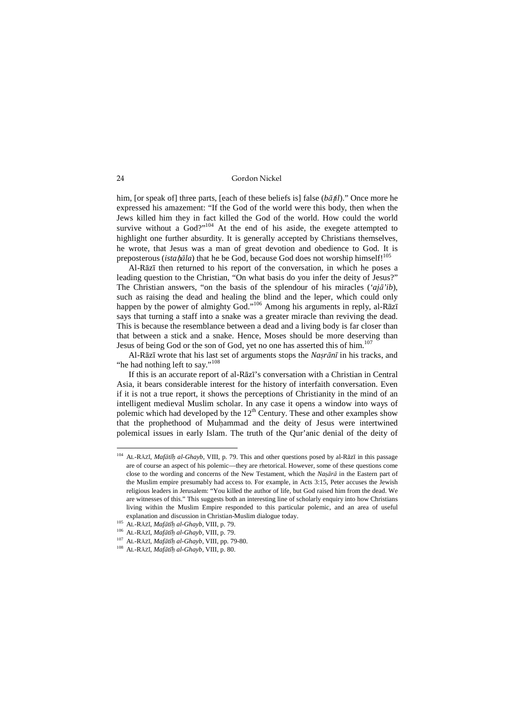him, [or speak of] three parts, [each of these beliefs is] false (*bāil*)." Once more he expressed his amazement: "If the God of the world were this body, then when the Jews killed him they in fact killed the God of the world. How could the world survive without a God?"<sup>104</sup> At the end of his aside, the exegete attempted to highlight one further absurdity. It is generally accepted by Christians themselves, he wrote, that Jesus was a man of great devotion and obedience to God. It is preposterous *(istahāla)* that he be God, because God does not worship himself!<sup>105</sup>

Al-Rāzī then returned to his report of the conversation, in which he poses a leading question to the Christian, "On what basis do you infer the deity of Jesus?" The Christian answers, "on the basis of the splendour of his miracles (*'ajā'ib*), such as raising the dead and healing the blind and the leper, which could only happen by the power of almighty God."<sup>106</sup> Among his arguments in reply, al-Rāzī says that turning a staff into a snake was a greater miracle than reviving the dead. This is because the resemblance between a dead and a living body is far closer than that between a stick and a snake. Hence, Moses should be more deserving than Jesus of being God or the son of God, yet no one has asserted this of him.<sup>107</sup>

Al-Rāzī wrote that his last set of arguments stops the *Naṣrānī* in his tracks, and "he had nothing left to say."<sup>108</sup>

If this is an accurate report of al-Rāzī's conversation with a Christian in Central Asia, it bears considerable interest for the history of interfaith conversation. Even if it is not a true report, it shows the perceptions of Christianity in the mind of an intelligent medieval Muslim scholar. In any case it opens a window into ways of polemic which had developed by the 12<sup>th</sup> Century. These and other examples show that the prophethood of Muḥammad and the deity of Jesus were intertwined polemical issues in early Islam. The truth of the Qur'anic denial of the deity of

<sup>104</sup> AL-RĀZĪ, *Mafātīḥ al-Ghayb*, VIII, p. 79. This and other questions posed by al-Rāzī in this passage are of course an aspect of his polemic—they are rhetorical. However, some of these questions come close to the wording and concerns of the New Testament, which the *Naṣārā* in the Eastern part of the Muslim empire presumably had access to. For example, in Acts 3:15, Peter accuses the Jewish religious leaders in Jerusalem: "You killed the author of life, but God raised him from the dead. We are witnesses of this." This suggests both an interesting line of scholarly enquiry into how Christians living within the Muslim Empire responded to this particular polemic, and an area of useful explanation and discussion in Christian-Muslim dialogue today.

<sup>105</sup> AL-RĀZĪ, *Mafātīḥ al-Ghayb*, VIII, p. 79.

<sup>106</sup> AL-RĀZĪ, *Mafātīḥ al-Ghayb*, VIII, p. 79.

<sup>107</sup> AL-RĀZĪ, *Mafātīḥ al-Ghayb*, VIII, pp. 79-80.

<sup>108</sup> AL-RĀZĪ, *Mafātīḥ al-Ghayb*, VIII, p. 80.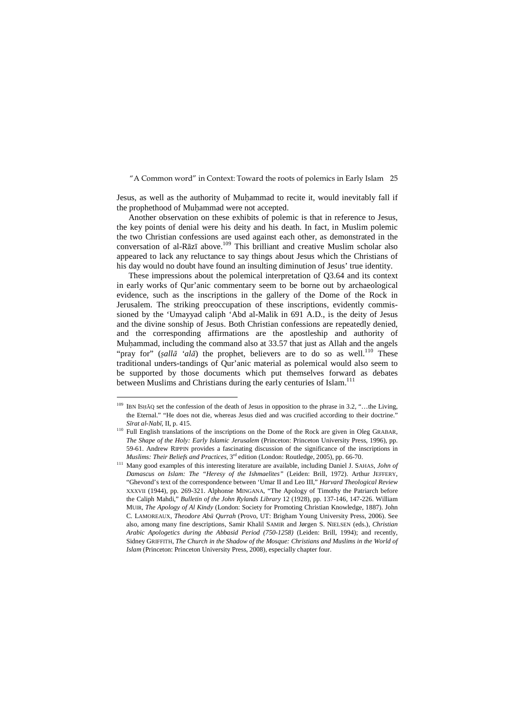Jesus, as well as the authority of Muḥammad to recite it, would inevitably fall if the prophethood of Muhammad were not accepted.

Another observation on these exhibits of polemic is that in reference to Jesus, the key points of denial were his deity and his death. In fact, in Muslim polemic the two Christian confessions are used against each other, as demonstrated in the conversation of al-Rāzī above.<sup>109</sup> This brilliant and creative Muslim scholar also appeared to lack any reluctance to say things about Jesus which the Christians of his day would no doubt have found an insulting diminution of Jesus' true identity.

These impressions about the polemical interpretation of Q3.64 and its context in early works of Qur'anic commentary seem to be borne out by archaeological evidence, such as the inscriptions in the gallery of the Dome of the Rock in Jerusalem. The striking preoccupation of these inscriptions, evidently commissioned by the 'Umayyad caliph 'Abd al-Malik in 691 A.D., is the deity of Jesus and the divine sonship of Jesus. Both Christian confessions are repeatedly denied, and the corresponding affirmations are the apostleship and authority of Muḥammad, including the command also at 33.57 that just as Allah and the angels "pray for" (*salla* '*ala*<sup> $\bar{a}$ </sup>) the prophet, believers are to do so as well.<sup>110</sup> These traditional unders-tandings of Qur'anic material as polemical would also seem to be supported by those documents which put themselves forward as debates between Muslims and Christians during the early centuries of Islam.<sup>111</sup>

<sup>&</sup>lt;sup>109</sup> IBN ISHĀQ set the confession of the death of Jesus in opposition to the phrase in 3.2, "...the Living, the Eternal." "He does not die, whereas Jesus died and was crucified according to their doctrine." *Sīrat al-Nabī*, II, p. 415.

<sup>110</sup> Full English translations of the inscriptions on the Dome of the Rock are given in Oleg GRABAR, *The Shape of the Holy: Early Islamic Jerusalem* (Princeton: Princeton University Press, 1996), pp. 59-61. Andrew RIPPIN provides a fascinating discussion of the significance of the inscriptions in *Muslims: Their Beliefs and Practices*, 3rd edition (London: Routledge, 2005), pp. 66-70.

<sup>111</sup> Many good examples of this interesting literature are available, including Daniel J. SAHAS, *John of Damascus on Islam: The "Heresy of the Ishmaelites"* (Leiden: Brill, 1972). Arthur JEFFERY, "Ghevond's text of the correspondence between 'Umar II and Leo III," *Harvard Theological Review* XXXVII (1944), pp. 269-321. Alphonse MINGANA, "The Apology of Timothy the Patriarch before the Caliph Mahdi," *Bulletin of the John Rylands Library* 12 (1928), pp. 137-146, 147-226. William MUIR, *The Apology of Al Kindy* (London: Society for Promoting Christian Knowledge, 1887). John C. LAMOREAUX, *Theodore Abū Qurrah* (Provo, UT: Brigham Young University Press, 2006). See also, among many fine descriptions, Samir Khalil SAMIR and Jørgen S. NIELSEN (eds.), *Christian Arabic Apologetics during the Abbasid Period (750-1258)* (Leiden: Brill, 1994); and recently, Sidney GRIFFITH, *The Church in the Shadow of the Mosque: Christians and Muslims in the World of Islam* (Princeton: Princeton University Press, 2008), especially chapter four.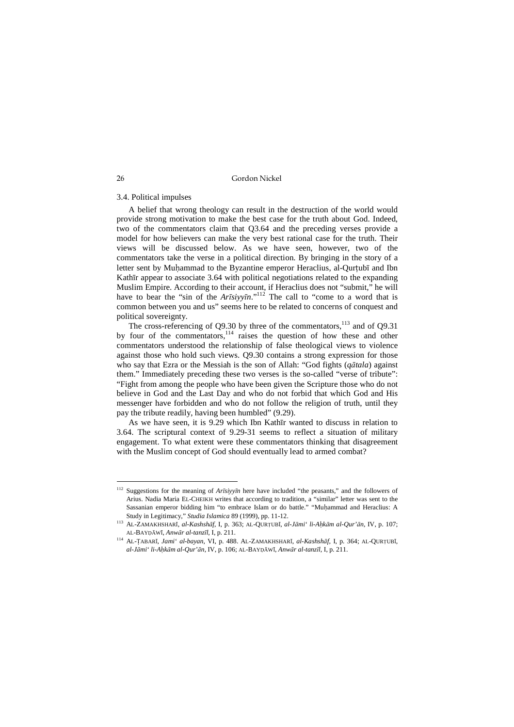#### 3.4. Political impulses

A belief that wrong theology can result in the destruction of the world would provide strong motivation to make the best case for the truth about God. Indeed, two of the commentators claim that Q3.64 and the preceding verses provide a model for how believers can make the very best rational case for the truth. Their views will be discussed below. As we have seen, however, two of the commentators take the verse in a political direction. By bringing in the story of a letter sent by Muḥammad to the Byzantine emperor Heraclius, al-Qurṭubī and Ibn Kathīr appear to associate 3.64 with political negotiations related to the expanding Muslim Empire. According to their account, if Heraclius does not "submit," he will have to bear the "sin of the *Arīsiyyīn*."<sup>112</sup> The call to "come to a word that is common between you and us" seems here to be related to concerns of conquest and political sovereignty.

The cross-referencing of Q9.30 by three of the commentators, $113$  and of Q9.31 by four of the commentators,<sup>114</sup> raises the question of how these and other commentators understood the relationship of false theological views to violence against those who hold such views. Q9.30 contains a strong expression for those who say that Ezra or the Messiah is the son of Allah: "God fights (*qātala*) against them." Immediately preceding these two verses is the so-called "verse of tribute": "Fight from among the people who have been given the Scripture those who do not believe in God and the Last Day and who do not forbid that which God and His messenger have forbidden and who do not follow the religion of truth, until they pay the tribute readily, having been humbled" (9.29).

As we have seen, it is 9.29 which Ibn Kathīr wanted to discuss in relation to 3.64. The scriptural context of 9.29-31 seems to reflect a situation of military engagement. To what extent were these commentators thinking that disagreement with the Muslim concept of God should eventually lead to armed combat?

<sup>112</sup> Suggestions for the meaning of *Arīsiyyīn* here have included "the peasants," and the followers of Arius. Nadia Maria EL-CHEIKH writes that according to tradition, a "similar" letter was sent to the Sassanian emperor bidding him "to embrace Islam or do battle." "Muhammad and Heraclius: A Study in Legitimacy," *Studia Islamica* 89 (1999), pp. 11-12.

<sup>113</sup> AL-ZAMAKHSHARĪ, *al-Kashshāf*, I, p. 363; AL-QURṬUBĪ, *al-Jāmi' li-Aḥkām al-Qur'ān*, IV, p. 107; AL-BAYḌĀWĪ, *Anwār al-tanzīl*, I, p. 211.

<sup>114</sup> AL-ṬABARĪ, *Jami' al-bayan*, VI, p. 488. AL-ZAMAKHSHARĪ, *al-Kashshāf*, I, p. 364; AL-QURṬUBĪ, *al-Jāmi' li-Aḥkām al-Qur'ān*, IV, p. 106; AL-BAYḌĀWĪ, *Anwār al-tanzīl*, I, p. 211.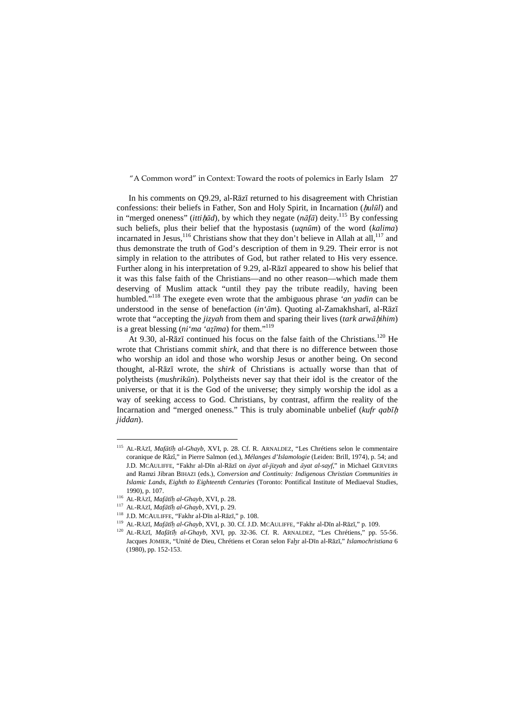In his comments on Q9.29, al-Rāzī returned to his disagreement with Christian confessions: their beliefs in Father, Son and Holy Spirit, in Incarnation (*ulūl*) and in "merged oneness" (*ittiād*), by which they negate (*nāfā*) deity.<sup>115</sup> By confessing such beliefs, plus their belief that the hypostasis (*uqnūm*) of the word (*kalima*) incarnated in Jesus, $1^{16}$  Christians show that they don't believe in Allah at all, $1^{17}$  and thus demonstrate the truth of God's description of them in 9.29. Their error is not simply in relation to the attributes of God, but rather related to His very essence. Further along in his interpretation of 9.29, al-Rāzī appeared to show his belief that it was this false faith of the Christians—and no other reason—which made them deserving of Muslim attack "until they pay the tribute readily, having been humbled."<sup>118</sup> The exegete even wrote that the ambiguous phrase *'an yadin* can be understood in the sense of benefaction (*in'ām*). Quoting al-Zamakhsharī, al-Rāzī wrote that "accepting the *jizyah* from them and sparing their lives (*tark arwāihim*) is a great blessing (*ni'ma 'aẓīma*) for them."<sup>119</sup>

At 9.30, al-Rāzī continued his focus on the false faith of the Christians.<sup>120</sup> He wrote that Christians commit *shirk*, and that there is no difference between those who worship an idol and those who worship Jesus or another being. On second thought, al-Rāzī wrote, the *shirk* of Christians is actually worse than that of polytheists (*mushrikūn*). Polytheists never say that their idol is the creator of the universe, or that it is the God of the universe; they simply worship the idol as a way of seeking access to God. Christians, by contrast, affirm the reality of the Incarnation and "merged oneness." This is truly abominable unbelief (*kufr qabī jiddan*).

<sup>115</sup> AL-RĀZĪ, *Mafātīḥ al-Ghayb*, XVI, p. 28. Cf. R. ARNALDEZ, "Les Chrétiens selon le commentaire coranique de Râzî," in Pierre Salmon (ed.), *Mélanges d'Islamologie* (Leiden: Brill, 1974), p. 54; and J.D. MCAULIFFE, "Fakhr al-Dīn al-Rāzī on *āyat al-jizyah* and *āyat al-sayf*," in Michael GERVERS and Ramzi Jibran BIHAZI (eds.), *Conversion and Continuity: Indigenous Christian Communities in Islamic Lands, Eighth to Eighteenth Centuries* (Toronto: Pontifical Institute of Mediaeval Studies, 1990), p. 107.

<sup>116</sup> AL-RĀZĪ, *Mafātīḥ al-Ghayb*, XVI, p. 28.

<sup>117</sup> AL-RĀZĪ, *Mafātīḥ al-Ghayb*, XVI, p. 29.

<sup>118</sup> J.D. MCAULIFFE, "Fakhr al-Dīn al-Rāzī," p. 108.

<sup>119</sup> AL-RĀZĪ, *Mafātīḥ al-Ghayb*, XVI, p. 30. Cf. J.D. MCAULIFFE, "Fakhr al-Dīn al-Rāzī," p. 109.

<sup>&</sup>lt;sup>120</sup> AL-RĀZĪ, *Mafātīh al-Ghayb*, XVI, pp. 32-36. Cf. R. ARNALDEZ, "Les Chrétiens," Jacques JOMIER, "Unité de Dieu, Chrétiens et Coran selon Faḫr al-Dīn al-Rāzī," *Islamochristiana* 6 (1980), pp. 152-153.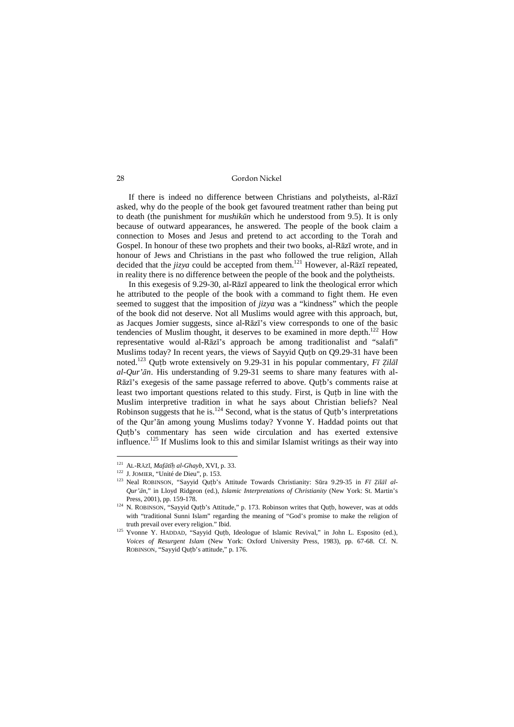If there is indeed no difference between Christians and polytheists, al-Rāzī asked, why do the people of the book get favoured treatment rather than being put to death (the punishment for *mushikūn* which he understood from 9.5). It is only because of outward appearances, he answered. The people of the book claim a connection to Moses and Jesus and pretend to act according to the Torah and Gospel. In honour of these two prophets and their two books, al-Rāzī wrote, and in honour of Jews and Christians in the past who followed the true religion, Allah decided that the *jizya* could be accepted from them.<sup>121</sup> However, al-Razī repeated, in reality there is no difference between the people of the book and the polytheists.

In this exegesis of 9.29-30, al-Rāzī appeared to link the theological error which he attributed to the people of the book with a command to fight them. He even seemed to suggest that the imposition of *jizya* was a "kindness" which the people of the book did not deserve. Not all Muslims would agree with this approach, but, as Jacques Jomier suggests, since al-Rāzī's view corresponds to one of the basic tendencies of Muslim thought, it deserves to be examined in more depth.<sup>122</sup> How representative would al-Rāzī's approach be among traditionalist and "salafi" Muslims today? In recent years, the views of Sayyid Quṭb on Q9.29-31 have been noted.<sup>123</sup> Quṭb wrote extensively on 9.29-31 in his popular commentary, *Fī Ẓilāl al-Qur'ān*. His understanding of 9.29-31 seems to share many features with al-Rāzī's exegesis of the same passage referred to above. Quṭb's comments raise at least two important questions related to this study. First, is Qutb in line with the Muslim interpretive tradition in what he says about Christian beliefs? Neal Robinson suggests that he is.<sup>124</sup> Second, what is the status of Qutb's interpretations of the Qur'ān among young Muslims today? Yvonne Y. Haddad points out that Quṭb's commentary has seen wide circulation and has exerted extensive influence.<sup>125</sup> If Muslims look to this and similar Islamist writings as their way into

<sup>121</sup> AL-RĀZĪ, *Mafātīḥ al-Ghayb*, XVI, p. 33.

<sup>&</sup>lt;sup>122</sup> J. JOMIER, "Unité de Dieu", p. 153.

<sup>123</sup> Neal ROBINSON, "Sayyid Quṭb's Attitude Towards Christianity: Sūra 9.29-35 in *Fī Ẓilāl al-Qur'ān*," in Lloyd Ridgeon (ed.), *Islamic Interpretations of Christianity* (New York: St. Martin's Press, 2001), pp. 159-178.

<sup>&</sup>lt;sup>124</sup> N. ROBINSON, "Sayyid Quṭb's Attitude," p. 173. Robinson writes that Quṭb, however, was at odds with "traditional Sunni Islam" regarding the meaning of "God's promise to make the religion of truth prevail over every religion." Ibid.

<sup>&</sup>lt;sup>125</sup> Yvonne Y. HADDAD, "Sayyid Quṭb, Ideologue of Islamic Revival," in John L. Esposito (ed.), *Voices of Resurgent Islam* (New York: Oxford University Press, 1983), pp. 67-68. Cf. N. ROBINSON, "Sayyid Quṭb's attitude," p. 176.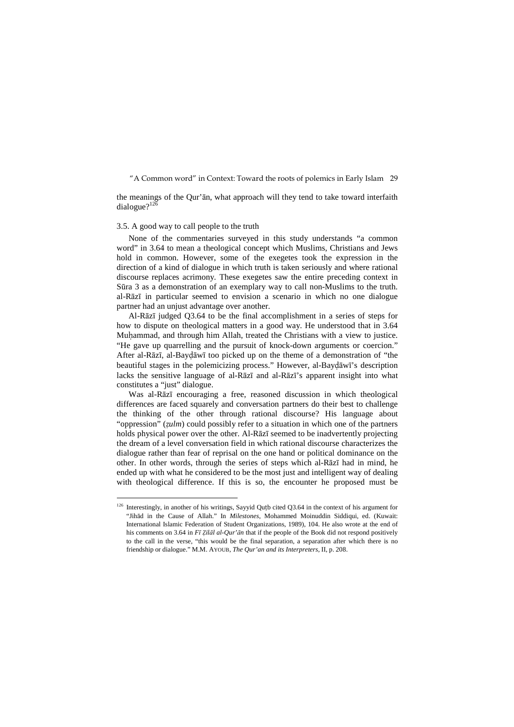the meanings of the Qur'ān, what approach will they tend to take toward interfaith dialogue $?$ <sup>126</sup>

#### 3.5. A good way to call people to the truth

 $\overline{a}$ 

None of the commentaries surveyed in this study understands "a common word" in 3.64 to mean a theological concept which Muslims, Christians and Jews hold in common. However, some of the exegetes took the expression in the direction of a kind of dialogue in which truth is taken seriously and where rational discourse replaces acrimony. These exegetes saw the entire preceding context in Sūra 3 as a demonstration of an exemplary way to call non-Muslims to the truth. al-Rāzī in particular seemed to envision a scenario in which no one dialogue partner had an unjust advantage over another.

Al-Rāzī judged Q3.64 to be the final accomplishment in a series of steps for how to dispute on theological matters in a good way. He understood that in 3.64 Muḥammad, and through him Allah, treated the Christians with a view to justice. "He gave up quarrelling and the pursuit of knock-down arguments or coercion." After al-Rāzī, al-Bayḍāwī too picked up on the theme of a demonstration of "the beautiful stages in the polemicizing process." However, al-Bayḍāwī's description lacks the sensitive language of al-Rāzī and al-Rāzī's apparent insight into what constitutes a "just" dialogue.

Was al-Rāzī encouraging a free, reasoned discussion in which theological differences are faced squarely and conversation partners do their best to challenge the thinking of the other through rational discourse? His language about "oppression" (*ẓulm*) could possibly refer to a situation in which one of the partners holds physical power over the other. Al-Rāzī seemed to be inadvertently projecting the dream of a level conversation field in which rational discourse characterizes the dialogue rather than fear of reprisal on the one hand or political dominance on the other. In other words, through the series of steps which al-Rāzī had in mind, he ended up with what he considered to be the most just and intelligent way of dealing with theological difference. If this is so, the encounter he proposed must be

<sup>&</sup>lt;sup>126</sup> Interestingly, in another of his writings, Sayyid Quṭb cited Q3.64 in the context of his argument for "Jihād in the Cause of Allah." In *Milestones*, Mohammed Moinuddin Siddiqui, ed. (Kuwait: International Islamic Federation of Student Organizations, 1989), 104. He also wrote at the end of his comments on 3.64 in *Fī Zilāl al-Qur'ān* that if the people of the Book did not respond positively to the call in the verse, "this would be the final separation, a separation after which there is no friendship or dialogue." M.M. AYOUB, *The Qur'an and its Interpreters*, II, p. 208.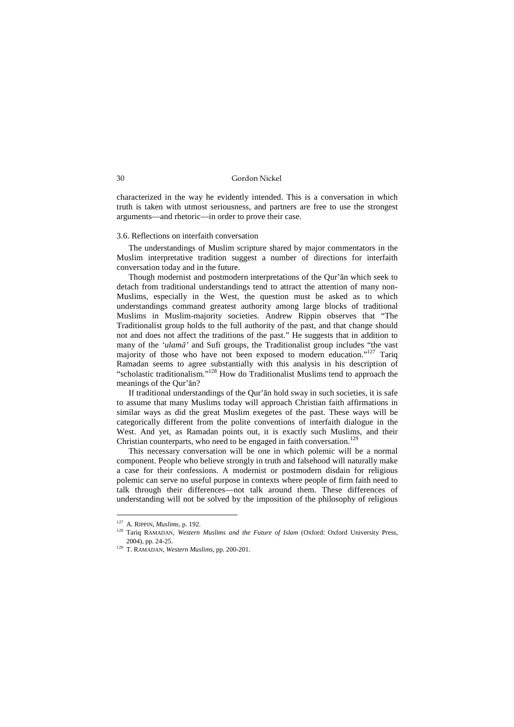characterized in the way he evidently intended. This is a conversation in which truth is taken with utmost seriousness, and partners are free to use the strongest arguments—and rhetoric—in order to prove their case.

#### 3.6. Reflections on interfaith conversation

The understandings of Muslim scripture shared by major commentators in the Muslim interpretative tradition suggest a number of directions for interfaith conversation today and in the future.

Though modernist and postmodern interpretations of the Qur'ān which seek to detach from traditional understandings tend to attract the attention of many non-Muslims, especially in the West, the question must be asked as to which understandings command greatest authority among large blocks of traditional Muslims in Muslim-majority societies. Andrew Rippin observes that "The Traditionalist group holds to the full authority of the past, and that change should not and does not affect the traditions of the past." He suggests that in addition to many of the *'ulamā'* and Sufi groups, the Traditionalist group includes "the vast majority of those who have not been exposed to modern education."<sup>127</sup> Tariq Ramadan seems to agree substantially with this analysis in his description of "scholastic traditionalism."<sup>128</sup> How do Traditionalist Muslims tend to approach the meanings of the Qur'ān?

If traditional understandings of the Qur'ān hold sway in such societies, it is safe to assume that many Muslims today will approach Christian faith affirmations in similar ways as did the great Muslim exegetes of the past. These ways will be categorically different from the polite conventions of interfaith dialogue in the West. And yet, as Ramadan points out, it is exactly such Muslims, and their Christian counterparts, who need to be engaged in faith conversation.<sup>129</sup>

This necessary conversation will be one in which polemic will be a normal component. People who believe strongly in truth and falsehood will naturally make a case for their confessions. A modernist or postmodern disdain for religious polemic can serve no useful purpose in contexts where people of firm faith need to talk through their differences—not talk around them. These differences of understanding will not be solved by the imposition of the philosophy of religious

<sup>127</sup> A. RIPPIN, *Muslims*, p. 192.

<sup>&</sup>lt;sup>128</sup> Tariq RAMADAN, *Western Muslims and the Future of Islam* (Oxford: Oxford University Press, 2004), pp. 24-25.

<sup>129</sup> T. RAMADAN, *Western Muslims*, pp. 200-201.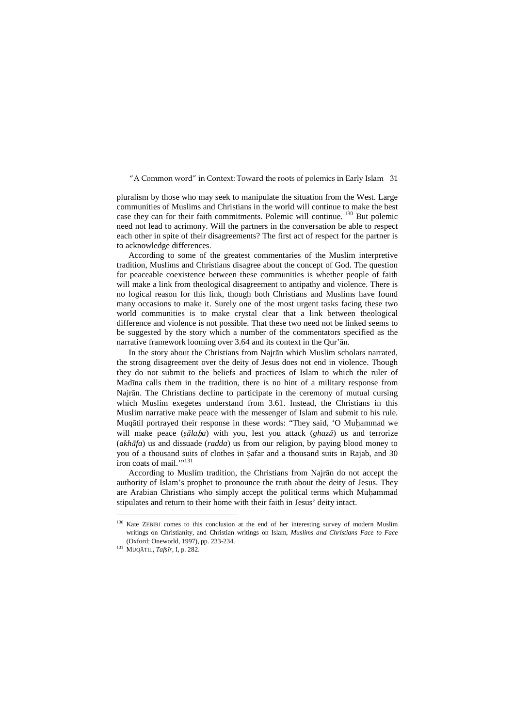pluralism by those who may seek to manipulate the situation from the West. Large communities of Muslims and Christians in the world will continue to make the best case they can for their faith commitments. Polemic will continue.<sup>130</sup> But polemic need not lead to acrimony. Will the partners in the conversation be able to respect each other in spite of their disagreements? The first act of respect for the partner is to acknowledge differences.

According to some of the greatest commentaries of the Muslim interpretive tradition, Muslims and Christians disagree about the concept of God. The question for peaceable coexistence between these communities is whether people of faith will make a link from theological disagreement to antipathy and violence. There is no logical reason for this link, though both Christians and Muslims have found many occasions to make it. Surely one of the most urgent tasks facing these two world communities is to make crystal clear that a link between theological difference and violence is not possible. That these two need not be linked seems to be suggested by the story which a number of the commentators specified as the narrative framework looming over 3.64 and its context in the Qur'ān.

In the story about the Christians from Najrān which Muslim scholars narrated, the strong disagreement over the deity of Jesus does not end in violence. Though they do not submit to the beliefs and practices of Islam to which the ruler of Madīna calls them in the tradition, there is no hint of a military response from Najrān. The Christians decline to participate in the ceremony of mutual cursing which Muslim exegetes understand from 3.61. Instead, the Christians in this Muslim narrative make peace with the messenger of Islam and submit to his rule. Muqātil portrayed their response in these words: "They said, 'O Muḥammad we will make peace (*ṣālaa*) with you, lest you attack (*ghazā*) us and terrorize (*akhāfa*) us and dissuade (*radda*) us from our religion, by paying blood money to you of a thousand suits of clothes in Ṣafar and a thousand suits in Rajab, and 30 iron coats of mail.'"<sup>131</sup>

According to Muslim tradition, the Christians from Najrān do not accept the authority of Islam's prophet to pronounce the truth about the deity of Jesus. They are Arabian Christians who simply accept the political terms which Muḥammad stipulates and return to their home with their faith in Jesus' deity intact.

<sup>&</sup>lt;sup>130</sup> Kate ZEBIRI comes to this conclusion at the end of her interesting survey of modern Muslim writings on Christianity, and Christian writings on Islam, *Muslims and Christians Face to Face* (Oxford: Oneworld, 1997), pp. 233-234.

<sup>131</sup> MUQĀTIL, *Tafsīr*, I, p. 282.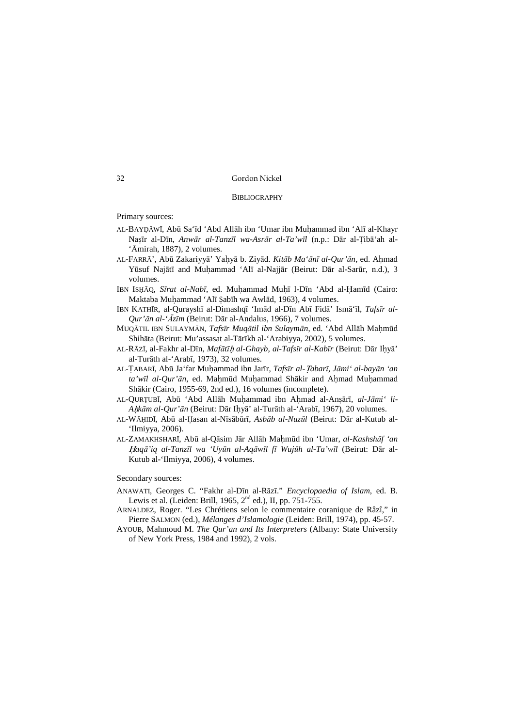#### **BIBLIOGRAPHY**

Primary sources:

- AL-BAYḌĀWĪ, Abū Sa'īd 'Abd Allāh ibn 'Umar ibn Muḥammad ibn 'Alī al-Khayr Naṣīr al-Dīn, *Anwār al-Tanzīl wa-Asrār al-Ta'wīl* (n.p.: Dār al-Ṭibā'ah al- 'Āmirah, 1887), 2 volumes.
- AL-FARRĀ', Abū Zakariyyā' Yaḥyā b. Ziyād. *Kitāb Ma'ānī al-Qur'ān*, ed. Aḥmad Yūsuf Najātī and Muḥammad 'Alī al-Najjār (Beirut: Dār al-Sarūr, n.d.), 3 volumes.
- IBN ISḤĀQ, Sīrat al-Nabī, ed. Muḥammad Muḥī l-Dīn 'Abd al-Ḥamīd (Cairo: Maktaba Muḥammad 'Alī Ṣabīh wa Awlād, 1963), 4 volumes.
- IBN KATHĪR, al-Qurayshī al-Dimashqī 'Imād al-Dīn Abī Fidā' Ismā'īl, *Tafsīr al-Qur'ān al-'Āzīm* (Beirut: Dār al-Andalus, 1966), 7 volumes.
- MUQĀTIL IBN SULAYMĀN, *Tafsīr Muqātil ibn Sulaymān*, ed. 'Abd Allāh Maḥmūd Shihāta (Beirut: Mu'assasat al-Tārīkh al-'Arabiyya, 2002), 5 volumes.
- AL-RĀZĪ, al-Fakhr al-Dīn, *Mafātī al-Ghayb, al-Tafsīr al-Kabīr* (Beirut: Dār Iḥyā' al-Turāth al-'Arabī, 1973), 32 volumes.
- AL-ṬABARĪ, Abū Ja'far Muḥammad ibn Jarīr, *Tafsīr al-abarī, Jāmi' al-bayān 'an ta'wīl al-Qur'ān*, ed. Maḥmūd Muḥammad Shākir and Aḥmad Muḥammad Shākir (Cairo, 1955-69, 2nd ed.), 16 volumes (incomplete).
- AL-QURṬUBĪ, Abū 'Abd Allāh Muḥammad ibn Aḥmad al-Anṣārī, *al-Jāmi' li-Akām al-Qur'ān* (Beirut: Dār Iḥyā' al-Turāth al-'Arabī, 1967), 20 volumes.
- AL-WĀḤIDĪ, Abū al-Ḥasan al-Nīsābūrī, *Asbāb al-Nuzūl* (Beirut: Dār al-Kutub al- 'Ilmiyya, 2006).
- AL-ZAMAKHSHARĪ, Abū al-Qāsim Jār Allāh Maḥmūd ibn 'Umar, *al-Kashshāf 'an*  -*aqā'iq al-Tanzīl wa 'Uyūn al-Aqāwīl fī Wujūh al-Ta'wīl* (Beirut: Dār al-Kutub al-'Ilmiyya, 2006), 4 volumes.

#### Secondary sources:

- ANAWATI, Georges C. "Fakhr al-Dīn al-Rāzī." *Encyclopaedia of Islam*, ed. B. Lewis et al. (Leiden: Brill, 1965,  $2<sup>nd</sup>$  ed.), II, pp. 751-755.
- ARNALDEZ, Roger. "Les Chrétiens selon le commentaire coranique de Râzî," in Pierre SALMON (ed.), *Mélanges d'Islamologie* (Leiden: Brill, 1974), pp. 45-57.
- AYOUB, Mahmoud M. *The Qur'an and Its Interpreters* (Albany: State University of New York Press, 1984 and 1992), 2 vols.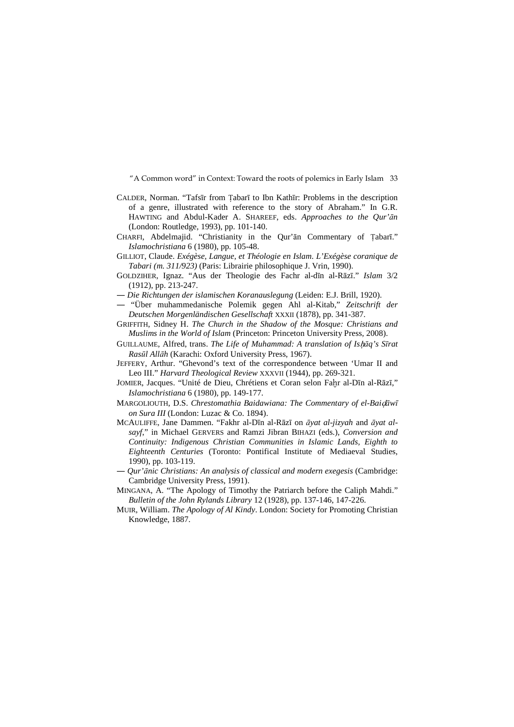- CALDER, Norman. "Tafsīr from Ṭabarī to Ibn Kathīr: Problems in the description of a genre, illustrated with reference to the story of Abraham." In G.R. HAWTING and Abdul-Kader A. SHAREEF, eds. *Approaches to the Qur'ān* (London: Routledge, 1993), pp. 101-140.
- CHARFI, Abdelmajid. "Christianity in the Qur'ān Commentary of Ṭabarī." *Islamochristiana* 6 (1980), pp. 105-48.
- GILLIOT, Claude. *Exégèse, Langue, et Théologie en Islam. L'Exégèse coranique de Tabari (m. 311/923)* (Paris: Librairie philosophique J. Vrin, 1990).
- GOLDZIHER, Ignaz. "Aus der Theologie des Fachr al-dīn al-Rāzī." *Islam* 3/2 (1912), pp. 213-247.
- ― *Die Richtungen der islamischen Koranauslegung* (Leiden: E.J. Brill, 1920).
- ― "Über muhammedanische Polemik gegen Ahl al-Kitab," *Zeitschrift der Deutschen Morgenländischen Gesellschaft* XXXII (1878), pp. 341-387.
- GRIFFITH, Sidney H. *The Church in the Shadow of the Mosque: Christians and Muslims in the World of Islam* (Princeton: Princeton University Press, 2008).
- GUILLAUME, Alfred, trans. *The Life of Muhammad: A translation of Isāq's Sīrat Rasūl Allāh* (Karachi: Oxford University Press, 1967).
- JEFFERY, Arthur. "Ghevond's text of the correspondence between 'Umar II and Leo III." *Harvard Theological Review* XXXVII (1944), pp. 269-321.
- JOMIER, Jacques. "Unité de Dieu, Chrétiens et Coran selon Fahr al-Dīn al-Rāzī," *Islamochristiana* 6 (1980), pp. 149-177.
- MARGOLIOUTH, D.S. *Chrestomathia Baidawiana: The Commentary of el-Baiāwī on Sura III* (London: Luzac & Co. 1894).
- MCAULIFFE, Jane Dammen. "Fakhr al-Dīn al-Rāzī on *āyat al-jizyah* and *āyat alsayf*," in Michael GERVERS and Ramzi Jibran BIHAZI (eds.), *Conversion and Continuity: Indigenous Christian Communities in Islamic Lands, Eighth to Eighteenth Centuries* (Toronto: Pontifical Institute of Mediaeval Studies, 1990), pp. 103-119.
- ― *Qur'ānic Christians: An analysis of classical and modern exegesis* (Cambridge: Cambridge University Press, 1991).
- MINGANA, A. "The Apology of Timothy the Patriarch before the Caliph Mahdi." *Bulletin of the John Rylands Library* 12 (1928), pp. 137-146, 147-226.
- MUIR, William. *The Apology of Al Kindy*. London: Society for Promoting Christian Knowledge, 1887.